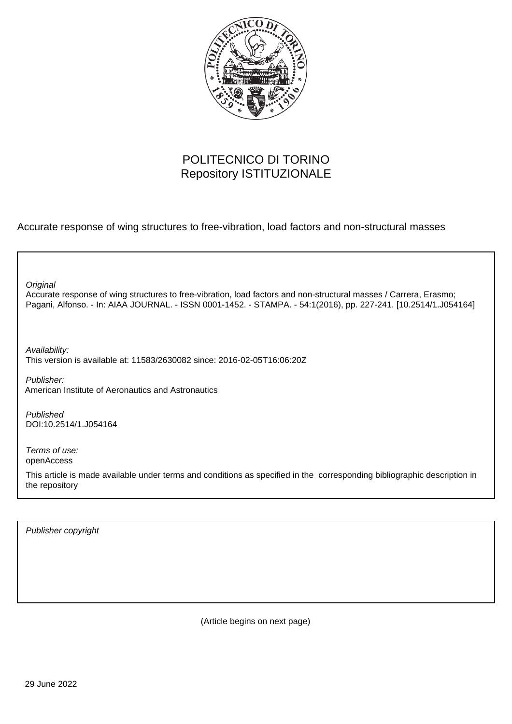

# POLITECNICO DI TORINO Repository ISTITUZIONALE

Accurate response of wing structures to free-vibration, load factors and non-structural masses

| Original<br>Accurate response of wing structures to free-vibration, load factors and non-structural masses / Carrera, Erasmo;<br>Pagani, Alfonso. - In: AIAA JOURNAL. - ISSN 0001-1452. - STAMPA. - 54:1(2016), pp. 227-241. [10.2514/1.J054164] |
|--------------------------------------------------------------------------------------------------------------------------------------------------------------------------------------------------------------------------------------------------|
| Availability:<br>This version is available at: 11583/2630082 since: 2016-02-05T16:06:20Z                                                                                                                                                         |
| Publisher:<br>American Institute of Aeronautics and Astronautics                                                                                                                                                                                 |
| Published<br>DOI:10.2514/1.J054164                                                                                                                                                                                                               |
| Terms of use:<br>openAccess<br>This article is made available under terms and conditions as specified in the corresponding bibliographic description in<br>the repository                                                                        |

Publisher copyright

(Article begins on next page)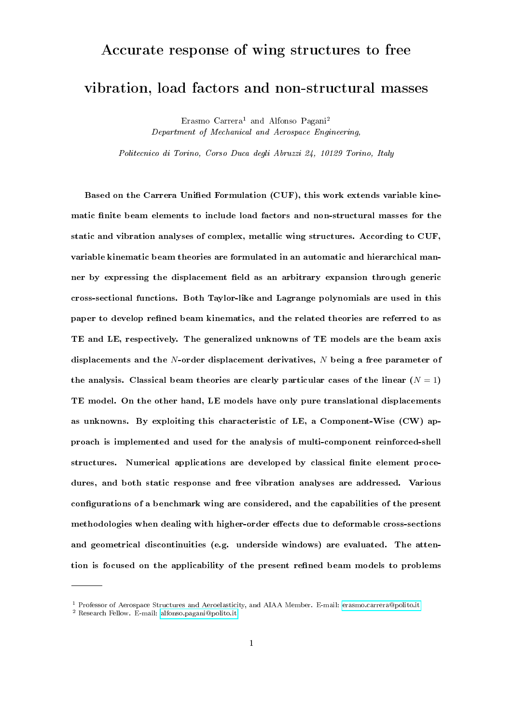# Accurate response of wing structures to free

# vibration, load factors and non-structural masses

Erasmo Carrera<sup>1</sup> and Alfonso Pagani<sup>2</sup> Department of Mechanical and Aerospace Engineering,

Politecnico di Torino, Corso Duca degli Abruzzi 24, 10129 Torino, Italy

Based on the Carrera Unified Formulation (CUF), this work extends variable kinematic finite beam elements to include load factors and non-structural masses for the static and vibration analyses of complex, metallic wing structures. According to CUF, variable kinematic beam theories are formulated in an automatic and hierarchical manner by expressing the displacement field as an arbitrary expansion through generic cross-sectional functions. Both Taylor-like and Lagrange polynomials are used in this paper to develop refined beam kinematics, and the related theories are referred to as TE and LE, respectively. The generalized unknowns of TE models are the beam axis displacements and the N-order displacement derivatives, N being a free parameter of the analysis. Classical beam theories are clearly particular cases of the linear  $(N = 1)$ TE model. On the other hand, LE models have only pure translational displacements as unknowns. By exploiting this characteristic of LE, a Component-Wise (CW) approach is implemented and used for the analysis of multi-component reinforced-shell structures. Numerical applications are developed by classical finite element procedures, and both static response and free vibration analyses are addressed. Various configurations of a benchmark wing are considered, and the capabilities of the present methodologies when dealing with higher-order effects due to deformable cross-sections and geometrical discontinuities (e.g. underside windows) are evaluated. The attention is focused on the applicability of the present refined beam models to problems

<sup>1</sup> Professor of Aerospace Structures and Aeroelasticity, and AIAA Member. E-mail: [erasmo.carrera@polito.it](mailto:erasmo.carrera@polito.it)

<sup>2</sup> Research Fellow. E-mail: [alfonso.pagani@polito.it](mailto:alfonso.pagani@polito.it)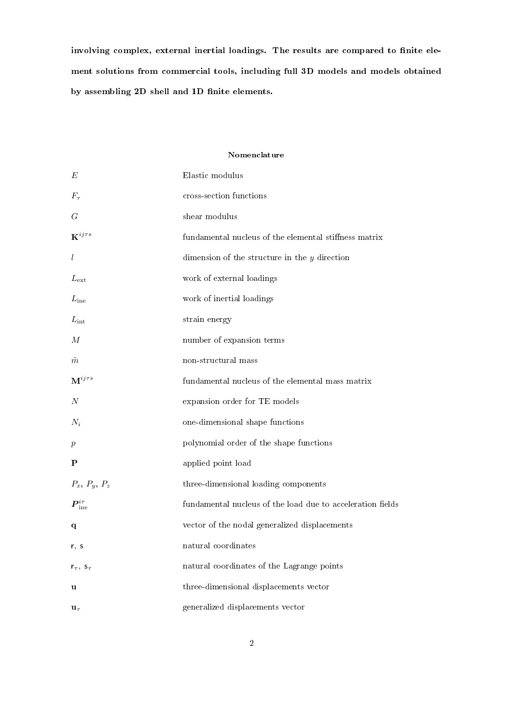involving complex, external inertial loadings. The results are compared to finite element solutions from commercial tools, including full 3D models and models obtained by assembling 2D shell and 1D finite elements.

# Nomenclature

| E                          | Elastic modulus                                            |
|----------------------------|------------------------------------------------------------|
| $F_\tau$                   | cross-section functions                                    |
| G                          | shear modulus                                              |
| $\mathbf{K}^{ij\tau s}$    | fundamental nucleus of the elemental stiffness matrix      |
| $\iota$                    | dimension of the structure in the $y$ direction            |
| $L_{\rm ext}$              | work of external loadings                                  |
| $L_{\text{ine}}$           | work of inertial loadings                                  |
| $L_{\rm int}$              | strain energy                                              |
| М                          | number of expansion terms                                  |
| $\tilde{m}$                | non-structural mass                                        |
| $\mathbf{M}^{ij\tau s}$    | fundamental nucleus of the elemental mass matrix           |
| N                          | expansion order for TE models                              |
| $N_i$                      | one-dimensional shape functions                            |
| $\boldsymbol{p}$           | polynomial order of the shape functions                    |
| P                          | applied point load                                         |
| $P_x$ , $P_y$ , $P_z$      | three-dimensional loading components                       |
| $\bm{P}^{i\tau}_{\rm inc}$ | fundamental nucleus of the load due to acceleration fields |
| q                          | vector of the nodal generalized displacements              |
| r, s                       | natural coordinates                                        |
| $r_{\tau}, s_{\tau}$       | natural coordinates of the Lagrange points                 |
| u                          | three-dimensional displacements vector                     |
| $\mathbf{u}_{\tau}$        | generalized displacements vector                           |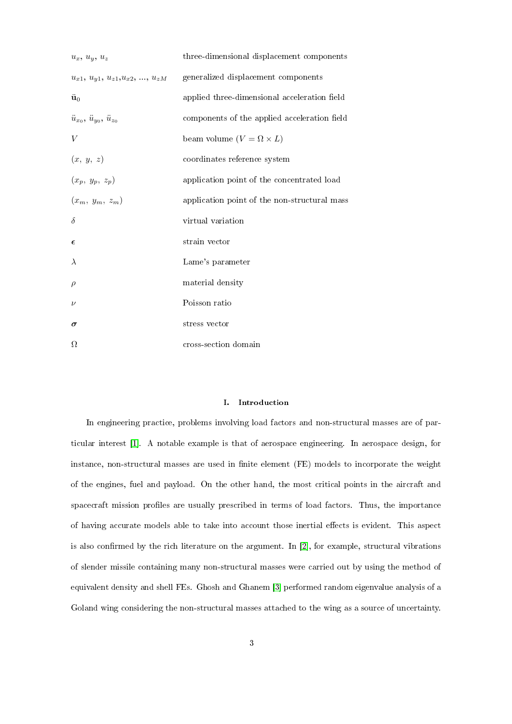| $u_x, u_y, u_z$                                        | three-dimensional displacement components    |
|--------------------------------------------------------|----------------------------------------------|
| $u_{x1}, u_{y1}, u_{z1}, u_{x2}, \ldots, u_{zM}$       | generalized displacement components          |
| $\ddot{\mathbf{u}}_0$                                  | applied three-dimensional acceleration field |
| $\ddot{u}_{x_0}, \, \ddot{u}_{y_0}, \, \ddot{u}_{z_0}$ | components of the applied acceleration field |
| V                                                      | beam volume $(V = \Omega \times L)$          |
| (x, y, z)                                              | coordinates reference system                 |
| $(x_p, y_p, z_p)$                                      | application point of the concentrated load   |
| $(x_m, y_m, z_m)$                                      | application point of the non-structural mass |
| $\delta$                                               | virtual variation                            |
| $\epsilon$                                             | strain vector                                |
| $\lambda$                                              | Lame's parameter                             |
| $\rho$                                                 | material density                             |
| $\nu$                                                  | Poisson ratio                                |
| $\boldsymbol{\sigma}$                                  | stress vector                                |
| Ω                                                      | cross-section domain                         |

# I. Introduction

In engineering practice, problems involving load factors and non-structural masses are of particular interest [1]. A notable example is that of aerospace engineering. In aerospace design, for instance, non-structural masses are used in finite element (FE) models to incorporate the weight of the engines, fuel and payload. On the other hand, the most critical points in the aircraft and spacecraft mission profiles are usually prescribed in terms of load factors. Thus, the importance of having accurate models able to take into account those inertial effects is evident. This aspect is also confirmed by the rich literature on the argument. In  $[2]$ , for example, structural vibrations of slender missile containing many non-structural masses were carried out by using the method of equivalent density and shell FEs. Ghosh and Ghanem [3] performed random eigenvalue analysis of a Goland wing considering the non-structural masses attached to the wing as a source of uncertainty.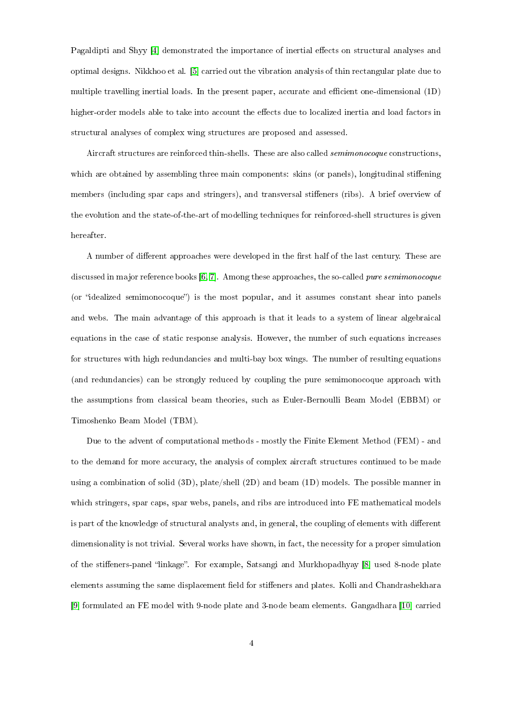Pagaldipti and Shyy [4] demonstrated the importance of inertial effects on structural analyses and optimal designs. Nikkhoo et al. [5] carried out the vibration analysis of thin rectangular plate due to multiple travelling inertial loads. In the present paper, accurate and efficient one-dimensional  $(1D)$ higher-order models able to take into account the effects due to localized inertia and load factors in structural analyses of complex wing structures are proposed and assessed.

Aircraft structures are reinforced thin-shells. These are also called semimonocoque constructions, which are obtained by assembling three main components: skins (or panels), longitudinal stiffening members (including spar caps and stringers), and transversal stiffeners (ribs). A brief overview of the evolution and the state-of-the-art of modelling techniques for reinforced-shell structures is given hereafter.

A number of different approaches were developed in the first half of the last century. These are discussed in major reference books [6, 7]. Among these approaches, the so-called pure semimonocoque (or "idealized semimonocoque") is the most popular, and it assumes constant shear into panels and webs. The main advantage of this approach is that it leads to a system of linear algebraical equations in the case of static response analysis. However, the number of such equations increases for structures with high redundancies and multi-bay box wings. The number of resulting equations (and redundancies) can be strongly reduced by coupling the pure semimonocoque approach with the assumptions from classical beam theories, such as Euler-Bernoulli Beam Model (EBBM) or Timoshenko Beam Model (TBM).

Due to the advent of computational methods - mostly the Finite Element Method (FEM) - and to the demand for more accuracy, the analysis of complex aircraft structures continued to be made using a combination of solid (3D), plate/shell (2D) and beam (1D) models. The possible manner in which stringers, spar caps, spar webs, panels, and ribs are introduced into FE mathematical models is part of the knowledge of structural analysts and, in general, the coupling of elements with different dimensionality is not trivial. Several works have shown, in fact, the necessity for a proper simulation of the stiffeners-panel "linkage". For example, Satsangi and Murkhopadhyay [8] used 8-node plate elements assuming the same displacement field for stiffeners and plates. Kolli and Chandrashekhara [9] formulated an FE model with 9-node plate and 3-node beam elements. Gangadhara [10] carried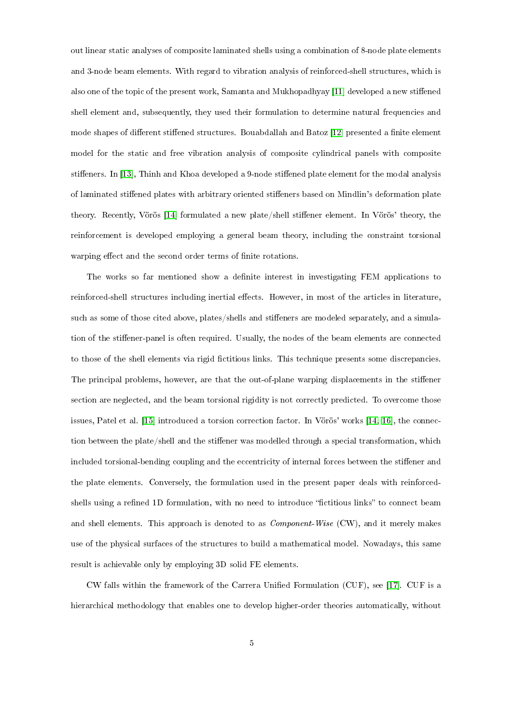out linear static analyses of composite laminated shells using a combination of 8-node plate elements and 3-node beam elements. With regard to vibration analysis of reinforced-shell structures, which is also one of the topic of the present work, Samanta and Mukhopadhyay [11] developed a new stiffened shell element and, subsequently, they used their formulation to determine natural frequencies and mode shapes of different stiffened structures. Bouabdallah and Batoz [12] presented a finite element model for the static and free vibration analysis of composite cylindrical panels with composite stiffeners. In [13], Thinh and Khoa developed a 9-node stiffened plate element for the modal analysis of laminated stiffened plates with arbitrary oriented stiffeners based on Mindlin's deformation plate theory. Recently, Vörös [14] formulated a new plate/shell stiffener element. In Vörös' theory, the reinforcement is developed employing a general beam theory, including the constraint torsional warping effect and the second order terms of finite rotations.

The works so far mentioned show a definite interest in investigating FEM applications to reinforced-shell structures including inertial effects. However, in most of the articles in literature, such as some of those cited above, plates/shells and stiffeners are modeled separately, and a simulation of the stiffener-panel is often required. Usually, the nodes of the beam elements are connected to those of the shell elements via rigid fictitious links. This technique presents some discrepancies. The principal problems, however, are that the out-of-plane warping displacements in the stiffener section are neglected, and the beam torsional rigidity is not correctly predicted. To overcome those issues, Patel et al. [15] introduced a torsion correction factor. In Vörös' works [14, 16], the connection between the plate/shell and the stiffener was modelled through a special transformation, which included torsional-bending coupling and the eccentricity of internal forces between the stiffener and the plate elements. Conversely, the formulation used in the present paper deals with reinforcedshells using a refined 1D formulation, with no need to introduce "fictitious links" to connect beam and shell elements. This approach is denoted to as *Component-Wise* (CW), and it merely makes use of the physical surfaces of the structures to build a mathematical model. Nowadays, this same result is achievable only by employing 3D solid FE elements.

CW falls within the framework of the Carrera Unified Formulation (CUF), see [17]. CUF is a hierarchical methodology that enables one to develop higher-order theories automatically, without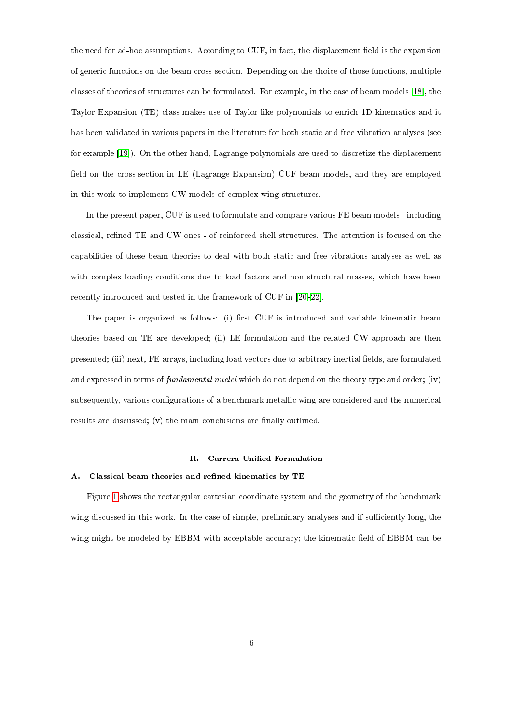the need for ad-hoc assumptions. According to CUF, in fact, the displacement field is the expansion of generic functions on the beam cross-section. Depending on the choice of those functions, multiple classes of theories of structures can be formulated. For example, in the case of beam models [18], the Taylor Expansion (TE) class makes use of Taylor-like polynomials to enrich 1D kinematics and it has been validated in various papers in the literature for both static and free vibration analyses (see for example [19]). On the other hand, Lagrange polynomials are used to discretize the displacement field on the cross-section in LE (Lagrange Expansion) CUF beam models, and they are employed in this work to implement CW models of complex wing structures.

In the present paper, CUF is used to formulate and compare various FE beam models - including classical, refined TE and CW ones - of reinforced shell structures. The attention is focused on the capabilities of these beam theories to deal with both static and free vibrations analyses as well as with complex loading conditions due to load factors and non-structural masses, which have been recently introduced and tested in the framework of CUF in [20-22].

The paper is organized as follows: (i) first CUF is introduced and variable kinematic beam theories based on TE are developed; (ii) LE formulation and the related CW approach are then presented; (iii) next, FE arrays, including load vectors due to arbitrary inertial fields, are formulated and expressed in terms of fundamental nuclei which do not depend on the theory type and order; (iv) subsequently, various congurations of a benchmark metallic wing are considered and the numerical results are discussed; (v) the main conclusions are finally outlined.

#### II. Carrera Unified Formulation

#### A. Classical beam theories and refined kinematics by TE

Figure 1 shows the rectangular cartesian coordinate system and the geometry of the benchmark wing discussed in this work. In the case of simple, preliminary analyses and if sufficiently long, the wing might be modeled by EBBM with acceptable accuracy; the kinematic field of EBBM can be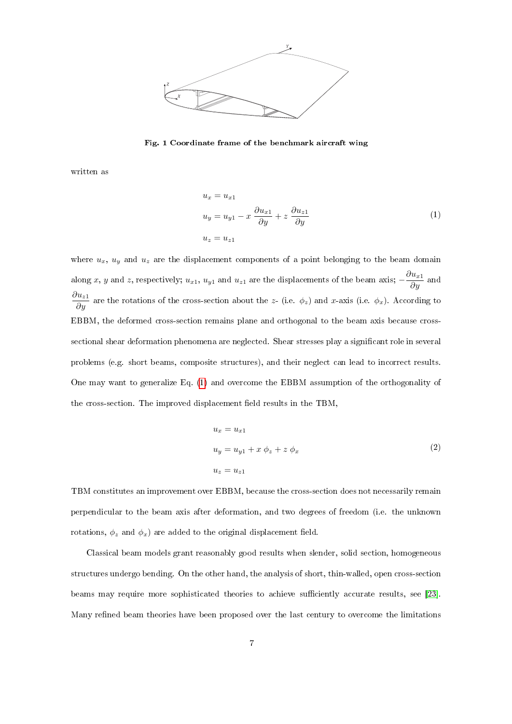

Fig. 1 Coordinate frame of the benchmark aircraft wing

written as

$$
u_x = u_{x1}
$$
  
\n
$$
u_y = u_{y1} - x \frac{\partial u_{x1}}{\partial y} + z \frac{\partial u_{z1}}{\partial y}
$$
  
\n
$$
u_z = u_{z1}
$$
\n(1)

where  $u_x$ ,  $u_y$  and  $u_z$  are the displacement components of a point belonging to the beam domain along x, y and z, respectively;  $u_{x1}$ ,  $u_{y1}$  and  $u_{z1}$  are the displacements of the beam axis;  $-\frac{\partial u_{x1}}{\partial y}$  and  $\frac{\partial u_{z1}}{\partial y}$  are the rotations of the cross-section about the z- (i.e.  $\phi_z$ ) and x-axis (i.e.  $\phi_x$ ). According to EBBM, the deformed cross-section remains plane and orthogonal to the beam axis because crosssectional shear deformation phenomena are neglected. Shear stresses play a significant role in several problems (e.g. short beams, composite structures), and their neglect can lead to incorrect results. One may want to generalize Eq. (1) and overcome the EBBM assumption of the orthogonality of the cross-section. The improved displacement field results in the TBM,

$$
u_x = u_{x1}
$$
  
\n
$$
u_y = u_{y1} + x \phi_z + z \phi_x
$$
  
\n
$$
u_z = u_{z1}
$$
\n(2)

TBM constitutes an improvement over EBBM, because the cross-section does not necessarily remain perpendicular to the beam axis after deformation, and two degrees of freedom (i.e. the unknown rotations,  $\phi_z$  and  $\phi_x$ ) are added to the original displacement field.

Classical beam models grant reasonably good results when slender, solid section, homogeneous structures undergo bending. On the other hand, the analysis of short, thin-walled, open cross-section beams may require more sophisticated theories to achieve sufficiently accurate results, see [23]. Many refined beam theories have been proposed over the last century to overcome the limitations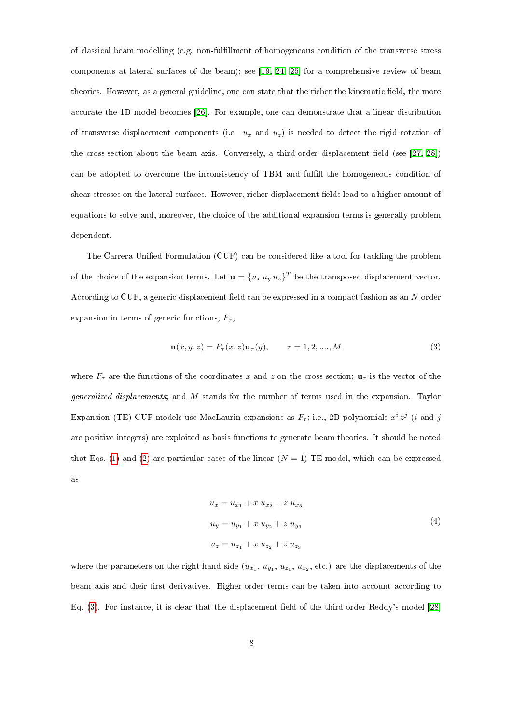of classical beam modelling (e.g. non-fulllment of homogeneous condition of the transverse stress components at lateral surfaces of the beam); see [19, 24, 25] for a comprehensive review of beam theories. However, as a general guideline, one can state that the richer the kinematic field, the more accurate the 1D model becomes [26]. For example, one can demonstrate that a linear distribution of transverse displacement components (i.e.  $u_x$  and  $u_z$ ) is needed to detect the rigid rotation of the cross-section about the beam axis. Conversely, a third-order displacement field (see  $[27, 28]$ ) can be adopted to overcome the inconsistency of TBM and fulll the homogeneous condition of shear stresses on the lateral surfaces. However, richer displacement fields lead to a higher amount of equations to solve and, moreover, the choice of the additional expansion terms is generally problem dependent.

The Carrera Unified Formulation (CUF) can be considered like a tool for tackling the problem of the choice of the expansion terms. Let  $\mathbf{u} = \{u_x u_y u_z\}^T$  be the transposed displacement vector. According to CUF, a generic displacement field can be expressed in a compact fashion as an N-order expansion in terms of generic functions,  $F_{\tau}$ ,

$$
\mathbf{u}(x, y, z) = F_{\tau}(x, z)\mathbf{u}_{\tau}(y), \qquad \tau = 1, 2, \dots, M
$$
 (3)

where  $F_{\tau}$  are the functions of the coordinates x and z on the cross-section;  $\mathbf{u}_{\tau}$  is the vector of the generalized displacements; and M stands for the number of terms used in the expansion. Taylor Expansion (TE) CUF models use MacLaurin expansions as  $F<sub>\tau</sub>$ ; i.e., 2D polynomials  $x<sup>i</sup> z<sup>j</sup>$  (*i* and *j* are positive integers) are exploited as basis functions to generate beam theories. It should be noted that Eqs. (1) and (2) are particular cases of the linear  $(N = 1)$  TE model, which can be expressed as

$$
u_x = u_{x_1} + x u_{x_2} + z u_{x_3}
$$
  
\n
$$
u_y = u_{y_1} + x u_{y_2} + z u_{y_3}
$$
  
\n
$$
u_z = u_{z_1} + x u_{z_2} + z u_{z_3}
$$
\n(4)

where the parameters on the right-hand side  $(u_{x_1}, u_{y_1}, u_{z_1}, u_{x_2}, \text{etc.})$  are the displacements of the beam axis and their first derivatives. Higher-order terms can be taken into account according to Eq.  $(3)$ . For instance, it is clear that the displacement field of the third-order Reddy's model [28]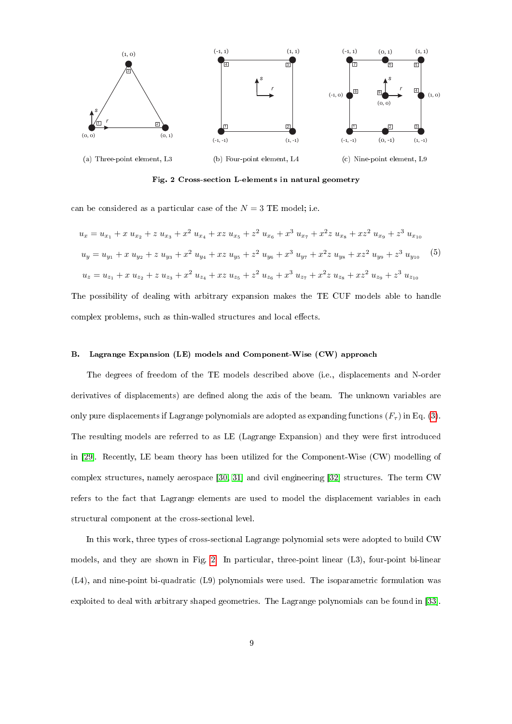

Fig. 2 Cross-section L-elements in natural geometry

can be considered as a particular case of the  $N = 3$  TE model; i.e.

$$
u_x = u_{x_1} + x u_{x_2} + z u_{x_3} + x^2 u_{x_4} + x z u_{x_5} + z^2 u_{x_6} + x^3 u_{x_7} + x^2 z u_{x_8} + x z^2 u_{x_9} + z^3 u_{x_{10}}
$$
  
\n
$$
u_y = u_{y_1} + x u_{y_2} + z u_{y_3} + x^2 u_{y_4} + x z u_{y_5} + z^2 u_{y_6} + x^3 u_{y_7} + x^2 z u_{y_8} + x z^2 u_{y_9} + z^3 u_{y_{10}}
$$
 (5)  
\n
$$
u_z = u_{z_1} + x u_{z_2} + z u_{z_3} + x^2 u_{z_4} + x z u_{z_5} + z^2 u_{z_6} + x^3 u_{z_7} + x^2 z u_{z_8} + x z^2 u_{z_9} + z^3 u_{z_{10}}
$$

The possibility of dealing with arbitrary expansion makes the TE CUF models able to handle complex problems, such as thin-walled structures and local effects.

# B. Lagrange Expansion (LE) models and Component-Wise (CW) approach

The degrees of freedom of the TE models described above (i.e., displacements and N-order derivatives of displacements) are defined along the axis of the beam. The unknown variables are only pure displacements if Lagrange polynomials are adopted as expanding functions  $(F<sub>\tau</sub>)$  in Eq. (3). The resulting models are referred to as LE (Lagrange Expansion) and they were first introduced in [29]. Recently, LE beam theory has been utilized for the Component-Wise (CW) modelling of complex structures, namely aerospace [30, 31] and civil engineering [32] structures. The term CW refers to the fact that Lagrange elements are used to model the displacement variables in each structural component at the cross-sectional level.

In this work, three types of cross-sectional Lagrange polynomial sets were adopted to build CW models, and they are shown in Fig. 2. In particular, three-point linear (L3), four-point bi-linear (L4), and nine-point bi-quadratic (L9) polynomials were used. The isoparametric formulation was exploited to deal with arbitrary shaped geometries. The Lagrange polynomials can be found in [33].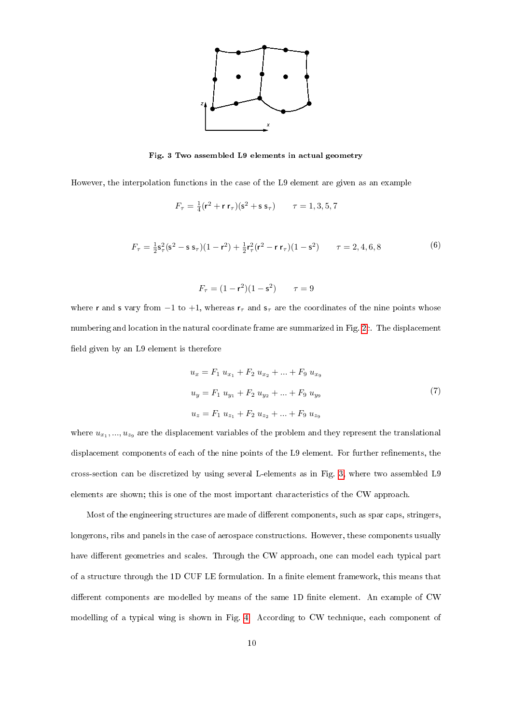

Fig. 3 Two assembled L9 elements in actual geometry

However, the interpolation functions in the case of the L9 element are given as an example

$$
F_{\tau} = \frac{1}{4} (\mathbf{r}^2 + \mathbf{r} \, \mathbf{r}_{\tau})(\mathbf{s}^2 + \mathbf{s} \, \mathbf{s}_{\tau}) \qquad \tau = 1, 3, 5, 7
$$

$$
F_{\tau} = \frac{1}{2}\mathsf{s}_{\tau}^{2}(\mathsf{s}^{2} - \mathsf{s} \,\mathsf{s}_{\tau})(1 - \mathsf{r}^{2}) + \frac{1}{2}\mathsf{r}_{\tau}^{2}(\mathsf{r}^{2} - \mathsf{r} \,\mathsf{r}_{\tau})(1 - \mathsf{s}^{2}) \qquad \tau = 2, 4, 6, 8 \tag{6}
$$

$$
F_{\tau} = (1 - r^2)(1 - s^2) \qquad \tau = 9
$$

where r and s vary from  $-1$  to  $+1$ , whereas  $r<sub>\tau</sub>$  and  $s<sub>\tau</sub>$  are the coordinates of the nine points whose numbering and location in the natural coordinate frame are summarized in Fig. 2c. The displacement field given by an L9 element is therefore

$$
u_x = F_1 u_{x_1} + F_2 u_{x_2} + \dots + F_9 u_{x_9}
$$
  
\n
$$
u_y = F_1 u_{y_1} + F_2 u_{y_2} + \dots + F_9 u_{y_9}
$$
  
\n
$$
u_z = F_1 u_{z_1} + F_2 u_{z_2} + \dots + F_9 u_{z_9}
$$
\n(7)

where  $u_{x_1},...,u_{z_9}$  are the displacement variables of the problem and they represent the translational displacement components of each of the nine points of the L9 element. For further refinements, the cross-section can be discretized by using several L-elements as in Fig. 3, where two assembled L9 elements are shown; this is one of the most important characteristics of the CW approach.

Most of the engineering structures are made of different components, such as spar caps, stringers, longerons, ribs and panels in the case of aerospace constructions. However, these components usually have different geometries and scales. Through the CW approach, one can model each typical part of a structure through the 1D CUF LE formulation. In a finite element framework, this means that different components are modelled by means of the same 1D finite element. An example of CW modelling of a typical wing is shown in Fig. 4. According to CW technique, each component of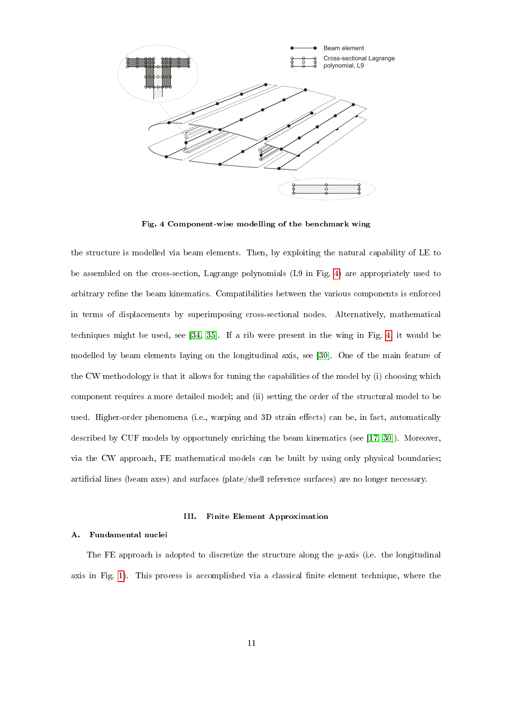

Fig. 4 Component-wise modelling of the benchmark wing

the structure is modelled via beam elements. Then, by exploiting the natural capability of LE to be assembled on the cross-section, Lagrange polynomials (L9 in Fig. 4) are appropriately used to arbitrary refine the beam kinematics. Compatibilities between the various components is enforced in terms of displacements by superimposing cross-sectional nodes. Alternatively, mathematical techniques might be used, see [34, 35]. If a rib were present in the wing in Fig. 4, it would be modelled by beam elements laying on the longitudinal axis, see [30]. One of the main feature of the CW methodology is that it allows for tuning the capabilities of the model by (i) choosing which component requires a more detailed model; and (ii) setting the order of the structural model to be used. Higher-order phenomena (i.e., warping and 3D strain effects) can be, in fact, automatically described by CUF models by opportunely enriching the beam kinematics (see [17, 30]). Moreover, via the CW approach, FE mathematical models can be built by using only physical boundaries; artificial lines (beam axes) and surfaces (plate/shell reference surfaces) are no longer necessary.

# III. Finite Element Approximation

#### A. Fundamental nuclei

The FE approach is adopted to discretize the structure along the  $y$ -axis (i.e. the longitudinal axis in Fig. 1). This process is accomplished via a classical nite element technique, where the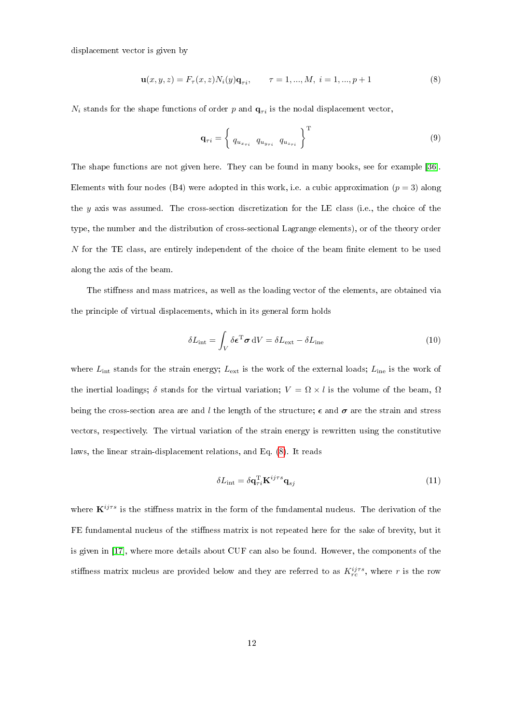displacement vector is given by

$$
\mathbf{u}(x, y, z) = F_{\tau}(x, z) N_i(y) \mathbf{q}_{\tau i}, \qquad \tau = 1, ..., M, \ i = 1, ..., p + 1
$$
\n(8)

 $N_i$  stands for the shape functions of order p and  $q_{\tau i}$  is the nodal displacement vector,

$$
\mathbf{q}_{\tau i} = \left\{ \begin{array}{c} q_{u_{x_{\tau i}}} \quad q_{u_{y_{\tau i}}} \quad q_{u_{z_{\tau i}}} \end{array} \right\}^{\mathrm{T}} \tag{9}
$$

The shape functions are not given here. They can be found in many books, see for example [36]. Elements with four nodes (B4) were adopted in this work, i.e. a cubic approximation  $(p = 3)$  along the y axis was assumed. The cross-section discretization for the LE class (i.e., the choice of the type, the number and the distribution of cross-sectional Lagrange elements), or of the theory order  $N$  for the TE class, are entirely independent of the choice of the beam finite element to be used along the axis of the beam.

The stiffness and mass matrices, as well as the loading vector of the elements, are obtained via the principle of virtual displacements, which in its general form holds

$$
\delta L_{\rm int} = \int_{V} \delta \epsilon^{T} \sigma \, dV = \delta L_{\rm ext} - \delta L_{\rm ine}
$$
\n(10)

where  $L_{\text{int}}$  stands for the strain energy;  $L_{\text{ext}}$  is the work of the external loads;  $L_{\text{ine}}$  is the work of the inertial loadings;  $\delta$  stands for the virtual variation;  $V = \Omega \times l$  is the volume of the beam,  $\Omega$ being the cross-section area are and l the length of the structure;  $\epsilon$  and  $\sigma$  are the strain and stress vectors, respectively. The virtual variation of the strain energy is rewritten using the constitutive laws, the linear strain-displacement relations, and Eq. (8). It reads

$$
\delta L_{\text{int}} = \delta \mathbf{q}_{\tau i}^{\text{T}} \mathbf{K}^{ij\tau s} \mathbf{q}_{s j} \tag{11}
$$

where  $\mathbf{K}^{ij\tau s}$  is the stiffness matrix in the form of the fundamental nucleus. The derivation of the FE fundamental nucleus of the stiffness matrix is not repeated here for the sake of brevity, but it is given in [17], where more details about CUF can also be found. However, the components of the stiffness matrix nucleus are provided below and they are referred to as  $K_{rc}^{ij\tau s}$ , where r is the row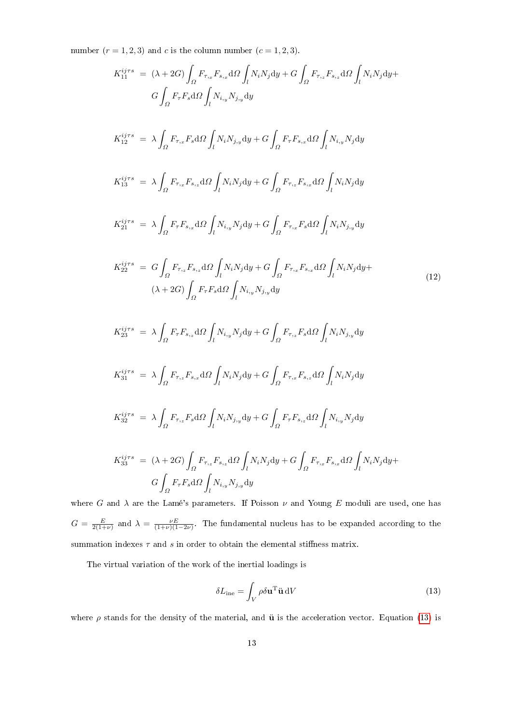number  $(r = 1, 2, 3)$  and c is the column number  $(c = 1, 2, 3)$ .

$$
K_{11}^{ijrs} = (\lambda + 2G) \int_{\Omega} F_{r,x} F_{s,x} d\Omega \int_{I} N_{i}N_{j} dy + G \int_{\Omega} F_{r,s} F_{s,z} d\Omega \int_{I} N_{i}N_{j} dy +
$$
  
\n
$$
G \int_{\Omega} F_{r} F_{s} d\Omega \int_{I} N_{i}N_{j}N_{j} dy
$$
  
\n
$$
K_{12}^{ijrs} = \lambda \int_{\Omega} F_{r,x} F_{s} d\Omega \int_{I} N_{i}N_{j}N_{j} dy + G \int_{\Omega} F_{r} F_{s,x} d\Omega \int_{I} N_{i}N_{j} dy
$$
  
\n
$$
K_{13}^{ijrs} = \lambda \int_{\Omega} F_{r,x} F_{s,x} d\Omega \int_{I} N_{i}N_{j} dy + G \int_{\Omega} F_{r,x} F_{s,x} d\Omega \int_{I} N_{i}N_{j} dy
$$
  
\n
$$
K_{21}^{ijrs} = \lambda \int_{\Omega} F_{r} F_{s,x} d\Omega \int_{I} N_{i}N_{j} dy + G \int_{\Omega} F_{r,x} F_{s,x} d\Omega \int_{I} N_{i}N_{j}N_{j} dy
$$
  
\n
$$
K_{22}^{ijrs} = G \int_{\Omega} F_{r,x} F_{s,x} d\Omega \int_{I} N_{i}N_{j} dy + G \int_{\Omega} F_{r,x} F_{s,x} d\Omega \int_{I} N_{i}N_{j}N_{j} dy +
$$
  
\n
$$
(\lambda + 2G) \int_{\Omega} F_{r} F_{s} d\Omega \int_{I} N_{i}N_{j}N_{j} dy
$$
  
\n
$$
K_{33}^{ijrs} = \lambda \int_{\Omega} F_{r} F_{s,x} d\Omega \int_{I} N_{i}N_{j}dy + G \int_{\Omega} F_{r,x} F_{s} d\Omega \int_{I} N_{i}N_{j}N_{j} dy
$$
  
\n
$$
K_{31}^{ijrs} = \lambda \int_{\Omega} F_{r,x} F_{s,x} d\Omega \int_{I} N_{i}N_{j} dy + G \int_{\Omega} F_{r,x} F_{s,x} d\Omega \int_{I} N_{i}N_{j} dy
$$
  
\n

 $G = \frac{E}{2(1+\nu)}$  and  $\lambda = \frac{\nu E}{(1+\nu)(1-2\nu)}$ . The fundamental nucleus has to be expanded according to the summation indexes  $\tau$  and  $s$  in order to obtain the elemental stiffness matrix.

The virtual variation of the work of the inertial loadings is

$$
\delta L_{\rm ine} = \int_{V} \rho \delta \mathbf{u}^{\rm T} \ddot{\mathbf{u}} \, \mathrm{d}V \tag{13}
$$

where  $\rho$  stands for the density of the material, and  $\ddot{u}$  is the acceleration vector. Equation (13) is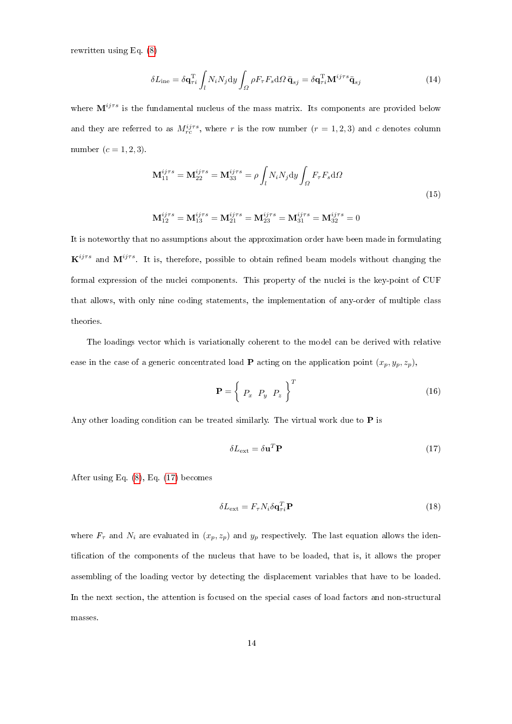rewritten using Eq. (8)

$$
\delta L_{\rm ine} = \delta \mathbf{q}_{\tau i}^{\rm T} \int_{l} N_{i} N_{j} \mathrm{d}y \int_{\Omega} \rho F_{\tau} F_{s} \mathrm{d}\Omega \, \ddot{\mathbf{q}}_{sj} = \delta \mathbf{q}_{\tau i}^{\rm T} \mathbf{M}^{ij \tau s} \ddot{\mathbf{q}}_{sj} \tag{14}
$$

where  $M^{ijrs}$  is the fundamental nucleus of the mass matrix. Its components are provided below and they are referred to as  $M_{rc}^{ij\tau s}$ , where r is the row number  $(r = 1, 2, 3)$  and c denotes column number  $(c = 1, 2, 3)$ .

$$
\mathbf{M}_{11}^{ij\tau s} = \mathbf{M}_{22}^{ij\tau s} = \mathbf{M}_{33}^{ij\tau s} = \rho \int_{l} N_{i} N_{j} \mathrm{d}y \int_{\Omega} F_{\tau} F_{s} \mathrm{d}\Omega
$$
\n(15)

$$
\mathbf{M}_{12}^{ij\tau s} = \mathbf{M}_{13}^{ij\tau s} = \mathbf{M}_{21}^{ij\tau s} = \mathbf{M}_{23}^{ij\tau s} = \mathbf{M}_{31}^{ij\tau s} = \mathbf{M}_{32}^{ij\tau s} = 0
$$

It is noteworthy that no assumptions about the approximation order have been made in formulating  ${\bf K}^{ij\tau s}$  and  ${\bf M}^{ij\tau s}$ . It is, therefore, possible to obtain refined beam models without changing the formal expression of the nuclei components. This property of the nuclei is the key-point of CUF that allows, with only nine coding statements, the implementation of any-order of multiple class theories.

The loadings vector which is variationally coherent to the model can be derived with relative ease in the case of a generic concentrated load **P** acting on the application point  $(x_p, y_p, z_p)$ ,

$$
\mathbf{P} = \left\{ \begin{array}{c} P_x & P_y & P_z \end{array} \right\}^T \tag{16}
$$

Any other loading condition can be treated similarly. The virtual work due to  $P$  is

$$
\delta L_{\text{ext}} = \delta \mathbf{u}^T \mathbf{P} \tag{17}
$$

After using Eq. (8), Eq. (17) becomes

$$
\delta L_{\text{ext}} = F_{\tau} N_i \delta \mathbf{q}_{\tau i}^T \mathbf{P}
$$
\n(18)

where  $F_{\tau}$  and  $N_i$  are evaluated in  $(x_p, z_p)$  and  $y_p$  respectively. The last equation allows the identification of the components of the nucleus that have to be loaded, that is, it allows the proper assembling of the loading vector by detecting the displacement variables that have to be loaded. In the next section, the attention is focused on the special cases of load factors and non-structural masses.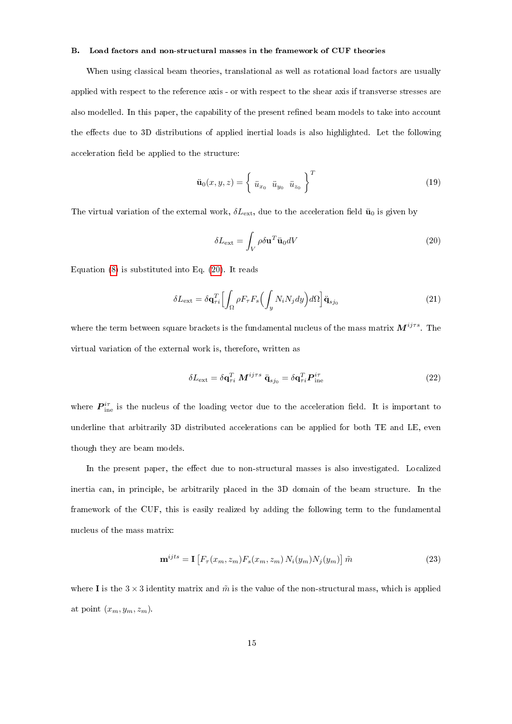# B. Load factors and non-structural masses in the framework of CUF theories

When using classical beam theories, translational as well as rotational load factors are usually applied with respect to the reference axis - or with respect to the shear axis if transverse stresses are also modelled. In this paper, the capability of the present refined beam models to take into account the effects due to 3D distributions of applied inertial loads is also highlighted. Let the following acceleration field be applied to the structure:

$$
\ddot{\mathbf{u}}_0(x, y, z) = \begin{cases} \ddot{u}_{x_0} & \ddot{u}_{y_0} & \ddot{u}_{z_0} \end{cases}^T
$$
\n(19)

The virtual variation of the external work,  $\delta L_{\text{ext}}$ , due to the acceleration field  $\ddot{u}_0$  is given by

$$
\delta L_{\text{ext}} = \int_{V} \rho \delta \mathbf{u}^{T} \ddot{\mathbf{u}}_{0} dV \tag{20}
$$

Equation (8) is substituted into Eq. (20). It reads

$$
\delta L_{\text{ext}} = \delta \mathbf{q}_{\tau i}^T \Big[ \int_{\Omega} \rho F_{\tau} F_s \Big( \int_y N_i N_j dy \Big) d\Omega \Big] \ddot{\mathbf{q}}_{s j_0} \tag{21}
$$

where the term between square brackets is the fundamental nucleus of the mass matrix  $M^{ij\tau s}$ . The virtual variation of the external work is, therefore, written as

$$
\delta L_{\text{ext}} = \delta \mathbf{q}_{\tau i}^T \ M^{ij\tau s} \ \ddot{\mathbf{q}}_{s j_0} = \delta \mathbf{q}_{\tau i}^T \boldsymbol{P}_{\text{ine}}^{i\tau}
$$
\n(22)

where  $P_{\text{ine}}^{i\tau}$  is the nucleus of the loading vector due to the acceleration field. It is important to underline that arbitrarily 3D distributed accelerations can be applied for both TE and LE, even though they are beam models.

In the present paper, the effect due to non-structural masses is also investigated. Localized inertia can, in principle, be arbitrarily placed in the 3D domain of the beam structure. In the framework of the CUF, this is easily realized by adding the following term to the fundamental nucleus of the mass matrix:

$$
\mathbf{m}^{ijts} = \mathbf{I} \left[ F_{\tau}(x_m, z_m) F_s(x_m, z_m) N_i(y_m) N_j(y_m) \right] \tilde{m}
$$
\n(23)

where I is the  $3 \times 3$  identity matrix and  $\tilde{m}$  is the value of the non-structural mass, which is applied at point  $(x_m, y_m, z_m)$ .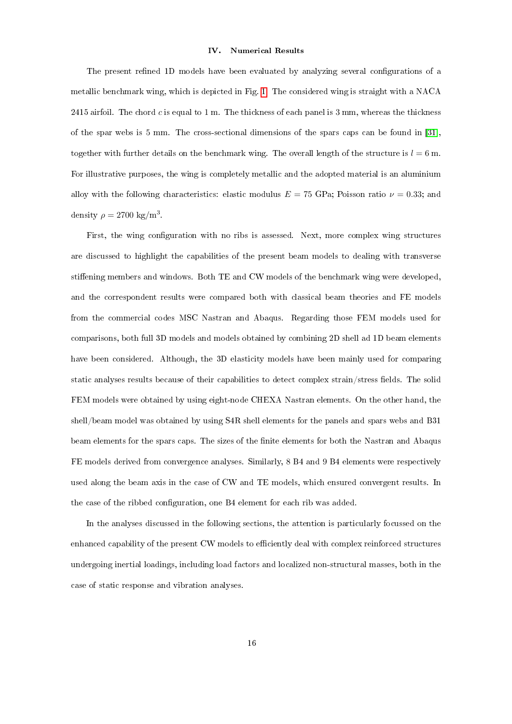### IV. Numerical Results

The present refined 1D models have been evaluated by analyzing several configurations of a metallic benchmark wing, which is depicted in Fig. 1. The considered wing is straight with a NACA 2415 airfoil. The chord c is equal to 1 m. The thickness of each panel is 3 mm, whereas the thickness of the spar webs is 5 mm. The cross-sectional dimensions of the spars caps can be found in [31], together with further details on the benchmark wing. The overall length of the structure is  $l = 6$  m. For illustrative purposes, the wing is completely metallic and the adopted material is an aluminium alloy with the following characteristics: elastic modulus  $E = 75$  GPa; Poisson ratio  $\nu = 0.33$ ; and density  $\rho = 2700 \text{ kg/m}^3$ .

First, the wing configuration with no ribs is assessed. Next, more complex wing structures are discussed to highlight the capabilities of the present beam models to dealing with transverse stiffening members and windows. Both TE and CW models of the benchmark wing were developed, and the correspondent results were compared both with classical beam theories and FE models from the commercial codes MSC Nastran and Abaqus. Regarding those FEM models used for comparisons, both full 3D models and models obtained by combining 2D shell ad 1D beam elements have been considered. Although, the 3D elasticity models have been mainly used for comparing static analyses results because of their capabilities to detect complex strain/stress fields. The solid FEM models were obtained by using eight-node CHEXA Nastran elements. On the other hand, the shell/beam model was obtained by using S4R shell elements for the panels and spars webs and B31 beam elements for the spars caps. The sizes of the finite elements for both the Nastran and Abaqus FE models derived from convergence analyses. Similarly, 8 B4 and 9 B4 elements were respectively used along the beam axis in the case of CW and TE models, which ensured convergent results. In the case of the ribbed configuration, one B4 element for each rib was added.

In the analyses discussed in the following sections, the attention is particularly focussed on the enhanced capability of the present CW models to efficiently deal with complex reinforced structures undergoing inertial loadings, including load factors and localized non-structural masses, both in the case of static response and vibration analyses.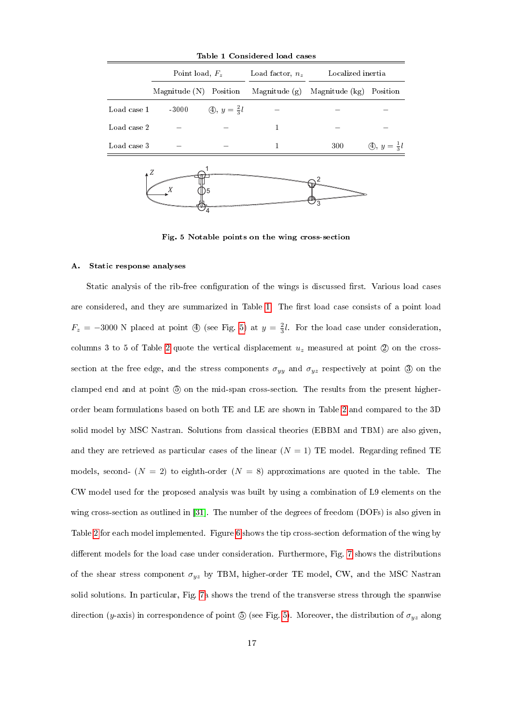| Table I Considered load cases |                        |                                     |                    |                                  |                                     |  |  |  |  |  |
|-------------------------------|------------------------|-------------------------------------|--------------------|----------------------------------|-------------------------------------|--|--|--|--|--|
|                               | Point load, $F_z$      |                                     | Load factor, $n_z$ | Localized inertia                |                                     |  |  |  |  |  |
|                               | Magnitude (N) Position |                                     |                    | Magnitude $(g)$ Magnitude $(kg)$ | Position                            |  |  |  |  |  |
| Load case 1                   | $-3000$                | $\textcircled{4}, y = \frac{2}{3}l$ |                    |                                  |                                     |  |  |  |  |  |
| Load case 2                   |                        |                                     | 1                  |                                  |                                     |  |  |  |  |  |
| Load case 3                   |                        |                                     | 1                  | 300                              | $\textcircled{4}, y = \frac{1}{3}l$ |  |  |  |  |  |
|                               | 15 <sup>5</sup>        |                                     |                    |                                  |                                     |  |  |  |  |  |

Table 1 Considered load cases

Fig. 5 Notable points on the wing cross-section

#### A. Static response analyses

Static analysis of the rib-free configuration of the wings is discussed first. Various load cases are considered, and they are summarized in Table 1. The first load case consists of a point load  $F_z = -3000$  N placed at point  $\textcircled{4}$  (see Fig. 5) at  $y = \frac{2}{3}l$ . For the load case under consideration, columns 3 to 5 of Table 2 quote the vertical displacement  $u<sub>z</sub>$  measured at point  $(2)$  on the crosssection at the free edge, and the stress components  $\sigma_{yy}$  and  $\sigma_{yz}$  respectively at point 3 on the clamped end and at point 5 on the mid-span cross-section. The results from the present higherorder beam formulations based on both TE and LE are shown in Table 2 and compared to the 3D solid model by MSC Nastran. Solutions from classical theories (EBBM and TBM) are also given, and they are retrieved as particular cases of the linear  $(N = 1)$  TE model. Regarding refined TE models, second-  $(N = 2)$  to eighth-order  $(N = 8)$  approximations are quoted in the table. The CW model used for the proposed analysis was built by using a combination of L9 elements on the wing cross-section as outlined in [31]. The number of the degrees of freedom (DOFs) is also given in Table 2 for each model implemented. Figure 6 shows the tip cross-section deformation of the wing by different models for the load case under consideration. Furthermore, Fig. 7 shows the distributions of the shear stress component  $\sigma_{yz}$  by TBM, higher-order TE model, CW, and the MSC Nastran solid solutions. In particular, Fig. 7a shows the trend of the transverse stress through the spanwise direction (y-axis) in correspondence of point  $\circled{0}$  (see Fig. 5). Moreover, the distribution of  $\sigma_{yz}$  along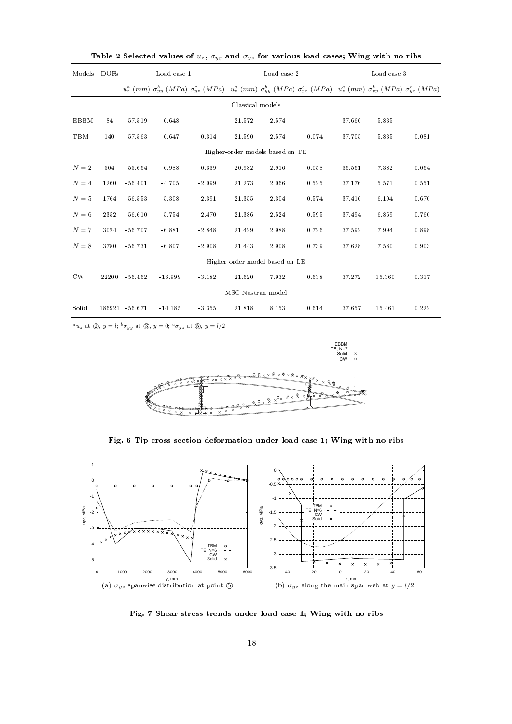| Models      | <b>DOFs</b> |                | Load case 1 |                                                                                                                                                                                                     |                   | Load case 2                     |       | Load case 3 |        |       |
|-------------|-------------|----------------|-------------|-----------------------------------------------------------------------------------------------------------------------------------------------------------------------------------------------------|-------------------|---------------------------------|-------|-------------|--------|-------|
|             |             |                |             | $u_z^a \ (mm)\ \sigma_{yy}^b \ (MPa) \ \sigma_{yz}^c \ (MPa) \quad u_z^a \ (mm) \ \sigma_{yy}^b \ (MPa) \ \sigma_{yz}^c \ (MPa) \quad u_z^a \ (mm) \ \sigma_{yy}^b \ (MPa) \ \sigma_{yz}^c \ (MPa)$ |                   |                                 |       |             |        |       |
|             |             |                |             |                                                                                                                                                                                                     | Classical models  |                                 |       |             |        |       |
| <b>EBBM</b> | 84          | $-57.519$      | $-6.648$    |                                                                                                                                                                                                     | 21.572            | 2.574                           |       | 37.666      | 5.835  |       |
| TBM         | 140         | $-57.563$      | $-6.647$    | $-0.314$                                                                                                                                                                                            | 21.590            | 2.574                           | 0.074 | 37.705      | 5.835  | 0.081 |
|             |             |                |             |                                                                                                                                                                                                     |                   | Higher-order models based on TE |       |             |        |       |
| $N=2$       | 504         | $-55.664$      | $-6.988$    | $-0.339$                                                                                                                                                                                            | 20.982            | 2.916                           | 0.058 | 36.561      | 7.382  | 0.064 |
| $N=4$       | 1260        | $-56.401$      | $-4.705$    | $-2.099$                                                                                                                                                                                            | 21.273            | 2.066                           | 0.525 | 37.176      | 5.571  | 0.551 |
| $N=5$       | 1764        | $-56.553$      | $-5.308$    | $-2.391$                                                                                                                                                                                            | 21.355            | 2.304                           | 0.574 | 37.416      | 6.194  | 0.670 |
| $N=6$       | 2352        | $-56.610$      | $-5.754$    | $-2.470$                                                                                                                                                                                            | 21.386            | 2.524                           | 0.595 | 37.494      | 6.869  | 0.760 |
| $N=7$       | 3024        | $-56.707$      | $-6.881$    | $-2.848$                                                                                                                                                                                            | 21.429            | 2.988                           | 0.726 | 37.592      | 7.994  | 0.898 |
| $N=8$       | 3780        | $-56.731$      | $-6.807$    | $-2.908$                                                                                                                                                                                            | 21.443            | 2.908                           | 0.739 | 37.628      | 7.580  | 0.903 |
|             |             |                |             |                                                                                                                                                                                                     |                   | Higher-order model based on LE  |       |             |        |       |
| CW          | 22200       | $-56.462$      | $-16.999$   | $-3.182$                                                                                                                                                                                            | 21.620            | 7.932                           | 0.638 | 37.272      | 15.360 | 0.317 |
|             |             |                |             |                                                                                                                                                                                                     | MSC Nastran model |                                 |       |             |        |       |
| Solid       |             | 186921 -56.671 | $-14.185$   | $-3.355$                                                                                                                                                                                            | 21.818            | 8.153                           | 0.614 | 37.657      | 15.461 | 0.222 |

Table 2 Selected values of  $u_z$ ,  $\sigma_{yy}$  and  $\sigma_{yz}$  for various load cases; Wing with no ribs

 ${}^a u_z$  at  $(2), y = l; {}^b \sigma_{yy}$  at  $(3), y = 0; {}^c \sigma_{yz}$  at  $(5), y = l/2$ 



Fig. 6 Tip cross-section deformation under load case 1; Wing with no ribs



Fig. 7 Shear stress trends under load case 1; Wing with no ribs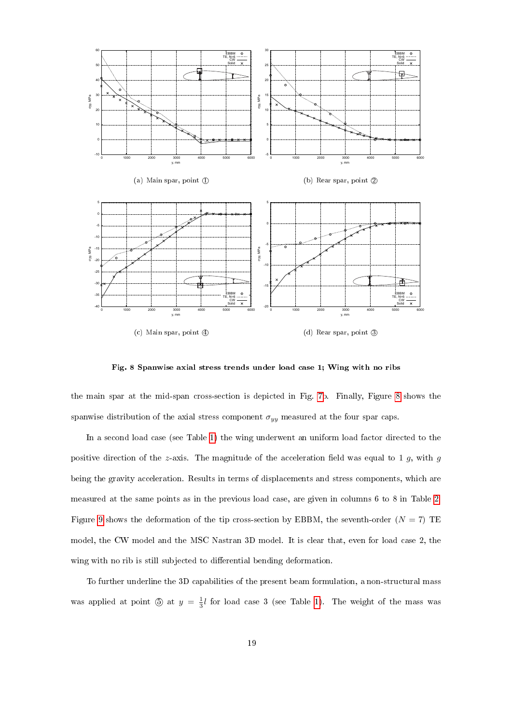

Fig. 8 Spanwise axial stress trends under load case 1; Wing with no ribs

the main spar at the mid-span cross-section is depicted in Fig. 7b. Finally, Figure 8 shows the spanwise distribution of the axial stress component  $\sigma_{yy}$  measured at the four spar caps.

In a second load case (see Table 1) the wing underwent an uniform load factor directed to the positive direction of the z-axis. The magnitude of the acceleration field was equal to 1  $g$ , with  $g$ being the gravity acceleration. Results in terms of displacements and stress components, which are measured at the same points as in the previous load case, are given in columns 6 to 8 in Table 2. Figure 9 shows the deformation of the tip cross-section by EBBM, the seventh-order  $(N = 7)$  TE model, the CW model and the MSC Nastran 3D model. It is clear that, even for load case 2, the wing with no rib is still subjected to differential bending deformation.

To further underline the 3D capabilities of the present beam formulation, a non-structural mass was applied at point  $\circled{5}$  at  $y = \frac{1}{3}l$  for load case 3 (see Table 1). The weight of the mass was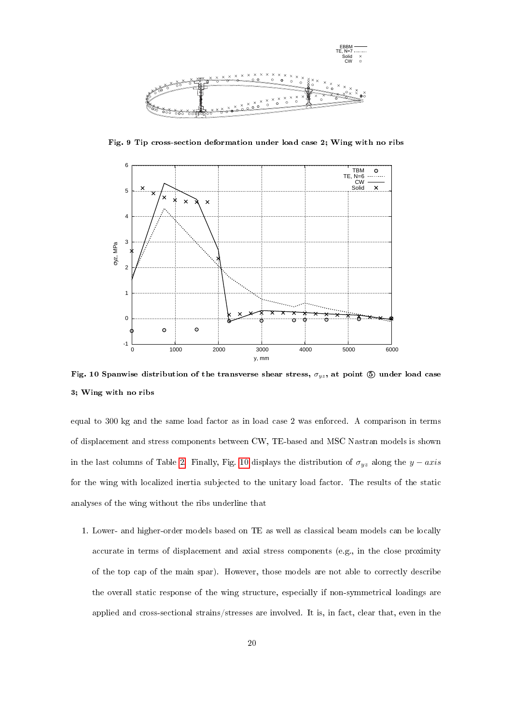

Fig. 9 Tip cross-section deformation under load case 2; Wing with no ribs



Fig. 10 Spanwise distribution of the transverse shear stress,  $\sigma_{yz}$ , at point  $\circledD$  under load case 3; Wing with no ribs

equal to 300 kg and the same load factor as in load case 2 was enforced. A comparison in terms of displacement and stress components between CW, TE-based and MSC Nastran models is shown in the last columns of Table 2. Finally, Fig. 10 displays the distribution of  $\sigma_{yz}$  along the  $y - axis$ for the wing with localized inertia subjected to the unitary load factor. The results of the static analyses of the wing without the ribs underline that

1. Lower- and higher-order models based on TE as well as classical beam models can be locally accurate in terms of displacement and axial stress components (e.g., in the close proximity of the top cap of the main spar). However, those models are not able to correctly describe the overall static response of the wing structure, especially if non-symmetrical loadings are applied and cross-sectional strains/stresses are involved. It is, in fact, clear that, even in the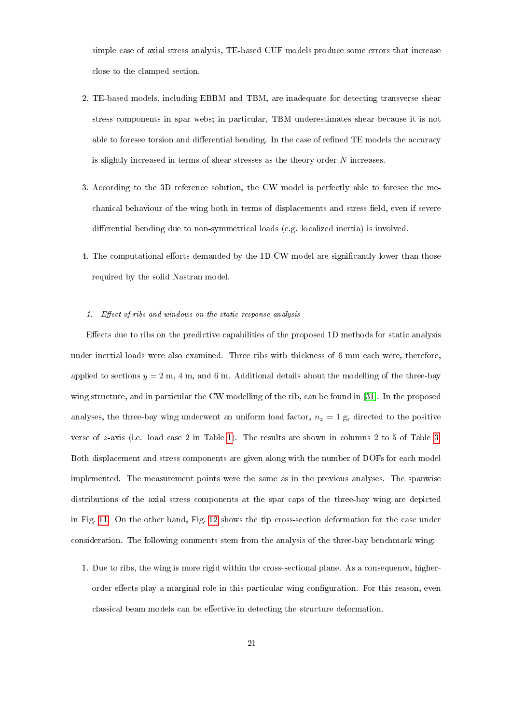simple case of axial stress analysis, TE-based CUF models produce some errors that increase close to the clamped section.

- 2. TE-based models, including EBBM and TBM, are inadequate for detecting transverse shear stress components in spar webs; in particular, TBM underestimates shear because it is not able to foresee torsion and differential bending. In the case of refined TE models the accuracy is slightly increased in terms of shear stresses as the theory order N increases.
- 3. According to the 3D reference solution, the CW model is perfectly able to foresee the mechanical behaviour of the wing both in terms of displacements and stress field, even if severe differential bending due to non-symmetrical loads (e.g. localized inertia) is involved.
- 4. The computational efforts demanded by the 1D CW model are significantly lower than those required by the solid Nastran model.

# 1. Effect of ribs and windows on the static response analysis

Effects due to ribs on the predictive capabilities of the proposed 1D methods for static analysis under inertial loads were also examined. Three ribs with thickness of 6 mm each were, therefore, applied to sections  $y = 2$  m, 4 m, and 6 m. Additional details about the modelling of the three-bay wing structure, and in particular the CW modelling of the rib, can be found in [31]. In the proposed analyses, the three-bay wing underwent an uniform load factor,  $n_z = 1$  g, directed to the positive verse of z-axis (i.e. load case 2 in Table 1). The results are shown in columns 2 to 5 of Table 3. Both displacement and stress components are given along with the number of DOFs for each model implemented. The measurement points were the same as in the previous analyses. The spanwise distributions of the axial stress components at the spar caps of the three-bay wing are depicted in Fig. 11. On the other hand, Fig. 12 shows the tip cross-section deformation for the case under consideration. The following comments stem from the analysis of the three-bay benchmark wing:

1. Due to ribs, the wing is more rigid within the cross-sectional plane. As a consequence, higherorder effects play a marginal role in this particular wing configuration. For this reason, even classical beam models can be effective in detecting the structure deformation.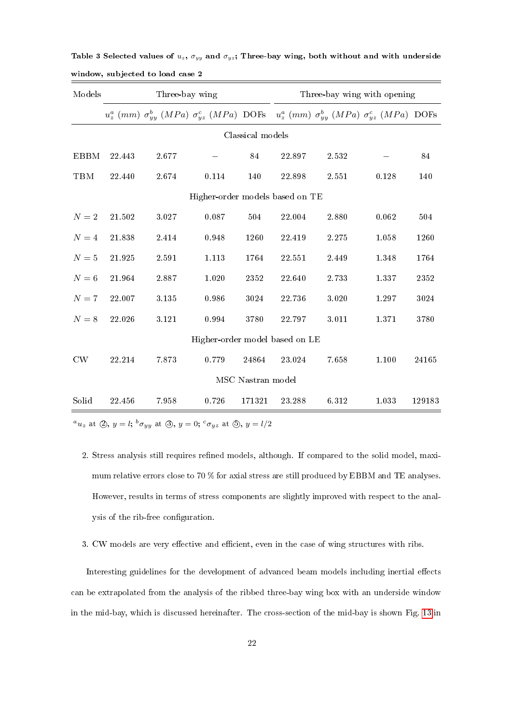| Models      |        | Three-bay wing |                                                                                                                             | Three-bay wing with opening |        |       |         |        |
|-------------|--------|----------------|-----------------------------------------------------------------------------------------------------------------------------|-----------------------------|--------|-------|---------|--------|
|             |        |                | $u_z^a$ (mm) $\sigma_{yy}^b$ (MPa) $\sigma_{yz}^c$ (MPa) DOFs $u_z^a$ (mm) $\sigma_{yy}^b$ (MPa) $\sigma_{yz}^c$ (MPa) DOFs |                             |        |       |         |        |
|             |        |                |                                                                                                                             | Classical models            |        |       |         |        |
| <b>EBBM</b> | 22.443 | 2.677          |                                                                                                                             | 84                          | 22.897 | 2.532 |         | 84     |
| TBM         | 22.440 | 2.674          | 0.114                                                                                                                       | 140                         | 22.898 | 2.551 | 0.128   | 140    |
|             |        |                | Higher-order models based on TE                                                                                             |                             |        |       |         |        |
| $N=2$       | 21.502 | 3.027          | 0.087                                                                                                                       | 504                         | 22.004 | 2.880 | 0.062   | 504    |
| $N=4$       | 21.838 | 2.414          | 0.948                                                                                                                       | 1260                        | 22.419 | 2.275 | 1.058   | 1260   |
| $N=5$       | 21.925 | $2.591\,$      | 1.113                                                                                                                       | 1764                        | 22.551 | 2.449 | 1 3 4 8 | 1764   |
| $N=6$       | 21.964 | 2.887          | 1.020                                                                                                                       | 2352                        | 22.640 | 2.733 | 1.337   | 2352   |
| $N=7$       | 22.007 | 3.135          | 0.986                                                                                                                       | 3024                        | 22.736 | 3.020 | 1.297   | 3024   |
| $N=8$       | 22.026 | $3.121\,$      | 0.994                                                                                                                       | 3780                        | 22.797 | 3.011 | 1.371   | 3780   |
|             |        |                | Higher-order model based on LE                                                                                              |                             |        |       |         |        |
| CW          | 22.214 | 7873           | 0.779                                                                                                                       | 24864                       | 23.024 | 7658  | 1.100   | 24165  |
|             |        |                |                                                                                                                             | MSC Nastran model           |        |       |         |        |
| Solid       | 22.456 | 7.958          | 0.726                                                                                                                       | 171321                      | 23.288 | 6.312 | 1.033   | 129183 |

Table 3 Selected values of  $u_z$ ,  $\sigma_{yy}$  and  $\sigma_{yz}$ ; Three-bay wing, both without and with underside window, subjected to load case 2

 ${}^a u_z$  at  $\circled{2}$ ,  $y = l$ ;  ${}^b \sigma_{yy}$  at  $\circled{3}$ ,  $y = 0$ ;  ${}^c \sigma_{yz}$  at  $\circled{5}$ ,  $y = l/2$ 

- 2. Stress analysis still requires refined models, although. If compared to the solid model, maximum relative errors close to 70 % for axial stress are still produced by EBBM and TE analyses. However, results in terms of stress components are slightly improved with respect to the analysis of the rib-free configuration.
- 3. CW models are very effective and efficient, even in the case of wing structures with ribs.

Interesting guidelines for the development of advanced beam models including inertial effects can be extrapolated from the analysis of the ribbed three-bay wing box with an underside window in the mid-bay, which is discussed hereinafter. The cross-section of the mid-bay is shown Fig. 13 in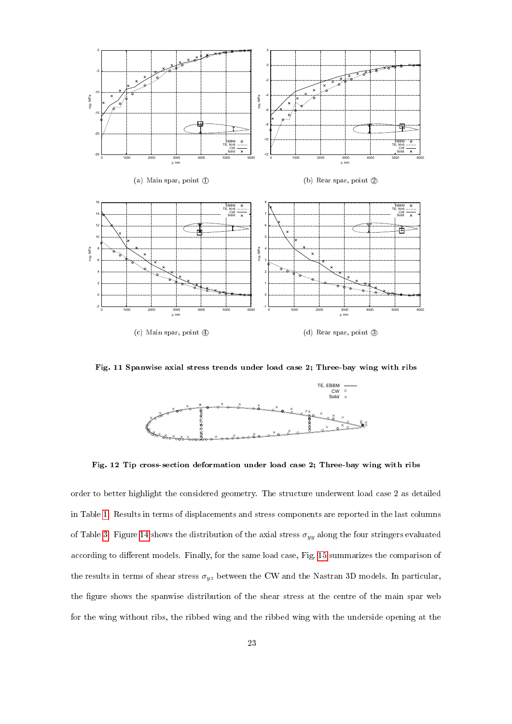

Fig. 11 Spanwise axial stress trends under load case 2; Three-bay wing with ribs



Fig. 12 Tip cross-section deformation under load case 2; Three-bay wing with ribs

order to better highlight the considered geometry. The structure underwent load case 2 as detailed in Table 1. Results in terms of displacements and stress components are reported in the last columns of Table 3. Figure 14 shows the distribution of the axial stress  $\sigma_{yy}$  along the four stringers evaluated according to different models. Finally, for the same load case, Fig. 15 summarizes the comparison of the results in terms of shear stress  $\sigma_{yz}$  between the CW and the Nastran 3D models. In particular, the figure shows the spanwise distribution of the shear stress at the centre of the main spar web for the wing without ribs, the ribbed wing and the ribbed wing with the underside opening at the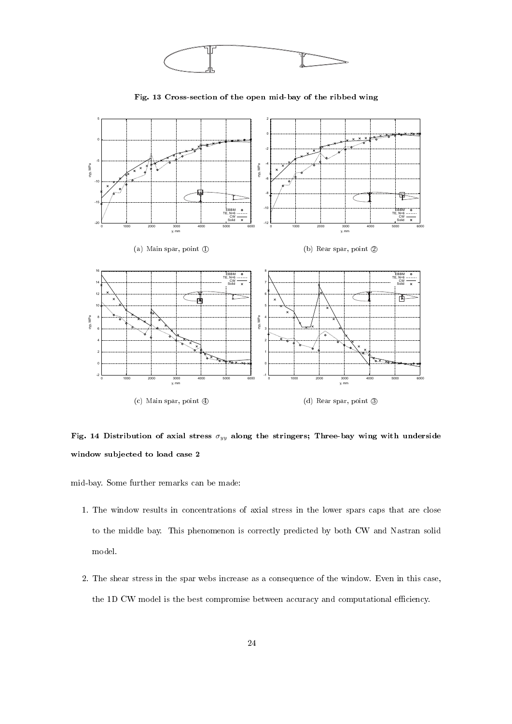

mid-bay. Some further remarks can be made:

window subjected to load case 2

0 1000 2000 3000 4000 5000 6000

y, mm

(c) Main spar, point 4

-2 아

1. The window results in concentrations of axial stress in the lower spars caps that are close to the middle bay. This phenomenon is correctly predicted by both CW and Nastran solid model.

-1 0 H

Fig. 14 Distribution of axial stress  $\sigma_{yy}$  along the stringers; Three-bay wing with underside

0 1000 2000 3000 4000 5000 6000

y, mm

(d) Rear spar, point 3

2. The shear stress in the spar webs increase as a consequence of the window. Even in this case, the 1D CW model is the best compromise between accuracy and computational efficiency.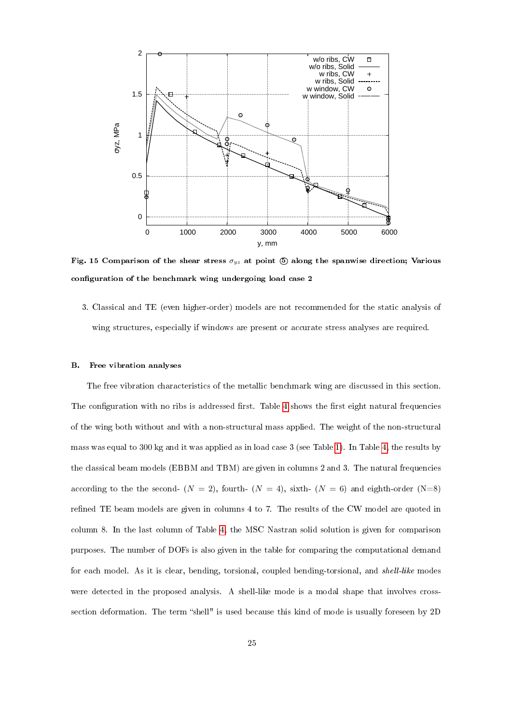

Fig. 15 Comparison of the shear stress  $\sigma_{uz}$  at point (5) along the spanwise direction; Various configuration of the benchmark wing undergoing load case 2

3. Classical and TE (even higher-order) models are not recommended for the static analysis of wing structures, especially if windows are present or accurate stress analyses are required.

# B. Free vibration analyses

The free vibration characteristics of the metallic benchmark wing are discussed in this section. The configuration with no ribs is addressed first. Table 4 shows the first eight natural frequencies of the wing both without and with a non-structural mass applied. The weight of the non-structural mass was equal to 300 kg and it was applied as in load case 3 (see Table 1). In Table 4, the results by the classical beam models (EBBM and TBM) are given in columns 2 and 3. The natural frequencies according to the the second-  $(N = 2)$ , fourth-  $(N = 4)$ , sixth-  $(N = 6)$  and eighth-order  $(N=8)$ refined TE beam models are given in columns 4 to 7. The results of the CW model are quoted in column 8. In the last column of Table 4, the MSC Nastran solid solution is given for comparison purposes. The number of DOFs is also given in the table for comparing the computational demand for each model. As it is clear, bending, torsional, coupled bending-torsional, and *shell-like* modes were detected in the proposed analysis. A shell-like mode is a modal shape that involves crosssection deformation. The term "shell" is used because this kind of mode is usually foreseen by 2D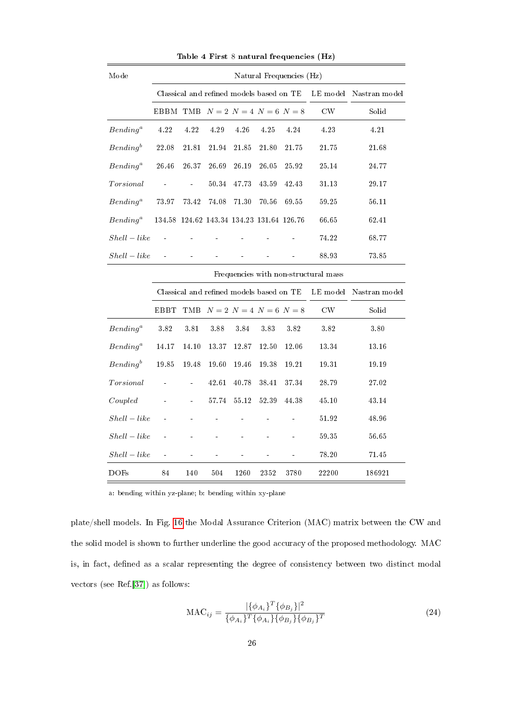| Mode                                                                                                                                                                                                                                                                                                                                                                                                                                                                                                                  | Natural Frequencies (Hz)                 |               |       |                                           |       |       |                        |        |  |  |
|-----------------------------------------------------------------------------------------------------------------------------------------------------------------------------------------------------------------------------------------------------------------------------------------------------------------------------------------------------------------------------------------------------------------------------------------------------------------------------------------------------------------------|------------------------------------------|---------------|-------|-------------------------------------------|-------|-------|------------------------|--------|--|--|
|                                                                                                                                                                                                                                                                                                                                                                                                                                                                                                                       | Classical and refined models based on TE |               |       |                                           |       |       | LE model Nastran model |        |  |  |
|                                                                                                                                                                                                                                                                                                                                                                                                                                                                                                                       | EBBM TMB $N=2$ $N=4$ $N=6$ $N=8$         |               |       |                                           |       |       | CW                     | Solid  |  |  |
| $Bending^a$                                                                                                                                                                                                                                                                                                                                                                                                                                                                                                           | 4.22                                     | 4.22          | 4.29  | 4.26                                      | 4.25  | 4.24  | 4.23                   | 4.21   |  |  |
| $Bending^b$                                                                                                                                                                                                                                                                                                                                                                                                                                                                                                           | 22.08                                    | 21.81         | 21.94 | 21.85                                     | 21.80 | 21.75 | 21.75                  | 21.68  |  |  |
| $Bending^a$                                                                                                                                                                                                                                                                                                                                                                                                                                                                                                           | 26.46                                    | 26.37         | 26.69 | $26.19\,$                                 | 26.05 | 25.92 | 25.14                  | 24.77  |  |  |
| $Torsional% \[ \includegraphics[width=1\textwidth]{figures/2.png} \caption{The first two different values of the number of~\acp{+}l~(dashed) and the number of~\acp{+}l~(ebold) is the number of~\acp{+}l~(fbold) and the number of~\acp{+}l~(gbold) is the number of~\acp{+}l~(gbold) and the number of~\acp{+}l~(hbold) is the number of~\acp{+}l~(gbold) and the number of~\acp{+}l~(hbold) is the number of~\acp{+}l~(hbold) and the number of~\acp{+}l~(hbold) is the number of~\acp{+}l~(hbold) and the number$ |                                          | $\frac{1}{2}$ | 50.34 | 47.73                                     | 43.59 | 42.43 | 31.13                  | 29.17  |  |  |
| $Bending^a$                                                                                                                                                                                                                                                                                                                                                                                                                                                                                                           | 73.97                                    | 73.42         | 74.08 | 71.30                                     | 70.56 | 69.55 | 59.25                  | 56.11  |  |  |
| $Bending^a$                                                                                                                                                                                                                                                                                                                                                                                                                                                                                                           |                                          |               |       | 134.58 124.62 143.34 134.23 131.64 126.76 |       |       | 66.65                  | 62.41  |  |  |
| $Shell-like$                                                                                                                                                                                                                                                                                                                                                                                                                                                                                                          |                                          |               |       |                                           |       |       | 74.22                  | 68.77  |  |  |
| $Shell - like$                                                                                                                                                                                                                                                                                                                                                                                                                                                                                                        | $\ddot{\phantom{a}}$                     |               |       |                                           |       |       | 88.93                  | 73.85  |  |  |
|                                                                                                                                                                                                                                                                                                                                                                                                                                                                                                                       | Frequencies with non-structural mass     |               |       |                                           |       |       |                        |        |  |  |
|                                                                                                                                                                                                                                                                                                                                                                                                                                                                                                                       | Classical and refined models based on TE |               |       |                                           |       |       | LE model Nastran model |        |  |  |
|                                                                                                                                                                                                                                                                                                                                                                                                                                                                                                                       | <b>EBBT</b>                              |               |       | TMB $N = 2$ $N = 4$ $N = 6$ $N = 8$       |       |       | $\mathrm{CW}$          | Solid  |  |  |
| $Bending^a$                                                                                                                                                                                                                                                                                                                                                                                                                                                                                                           | 3.82                                     | 3.81          | 3.88  | 3.84                                      | 3.83  | 3.82  | 3.82                   | 3.80   |  |  |
| $Bending^a$                                                                                                                                                                                                                                                                                                                                                                                                                                                                                                           | 14.17                                    | 14.10         | 13.37 | 12.87                                     | 12.50 | 12.06 | 13.34                  | 13.16  |  |  |
| $Bending^b$                                                                                                                                                                                                                                                                                                                                                                                                                                                                                                           | $19\ldotp85$                             | 19.48         | 19.60 | 19.46                                     | 19.38 | 19.21 | 19.31                  | 19.19  |  |  |
| $Torsional% \[ \includegraphics[width=1\textwidth]{figures/2.png} \caption{The first two different values of the number of~\acp{+}l~(dashed) and the number of~\acp{+}l~(ebold) is the number of~\acp{+}l~(fbold) and the number of~\acp{+}l~(gbold) is the number of~\acp{+}l~(gbold) and the number of~\acp{+}l~(hbold) is the number of~\acp{+}l~(gbold) and the number of~\acp{+}l~(hbold) is the number of~\acp{+}l~(hbold) and the number of~\acp{+}l~(hbold) is the number of~\acp{+}l~(hbold) and the number$ |                                          | ä,            | 42.61 | 40.78                                     | 38.41 | 37.34 | 28.79                  | 27.02  |  |  |
| Coupled                                                                                                                                                                                                                                                                                                                                                                                                                                                                                                               | ÷                                        | ÷,            | 57.74 | $55.12\,$                                 | 52.39 | 44.38 | 45.10                  | 43.14  |  |  |
| $Shell - like$                                                                                                                                                                                                                                                                                                                                                                                                                                                                                                        |                                          |               |       |                                           |       |       | 51.92                  | 48.96  |  |  |
| $Shell - like$                                                                                                                                                                                                                                                                                                                                                                                                                                                                                                        |                                          |               |       |                                           |       |       | 59.35                  | 56.65  |  |  |
| $Shell - like$                                                                                                                                                                                                                                                                                                                                                                                                                                                                                                        |                                          |               |       |                                           |       |       | 78.20                  | 71.45  |  |  |
| <b>DOFs</b>                                                                                                                                                                                                                                                                                                                                                                                                                                                                                                           | 84                                       | 140           | 504   | 1260                                      | 2352  | 3780  | 22200                  | 186921 |  |  |

Table 4 First 8 natural frequencies (Hz)

a: bending within yz-plane; b: bending within xy-plane

plate/shell models. In Fig. 16 the Modal Assurance Criterion (MAC) matrix between the CW and the solid model is shown to further underline the good accuracy of the proposed methodology. MAC is, in fact, defined as a scalar representing the degree of consistency between two distinct modal vectors (see Ref.[37]) as follows:

$$
\text{MAC}_{ij} = \frac{|\{\phi_{A_i}\}^T \{\phi_{B_j}\}|^2}{\{\phi_{A_i}\}^T \{\phi_{A_i}\}\{\phi_{B_j}\}\{\phi_{B_j}\}^T}
$$
(24)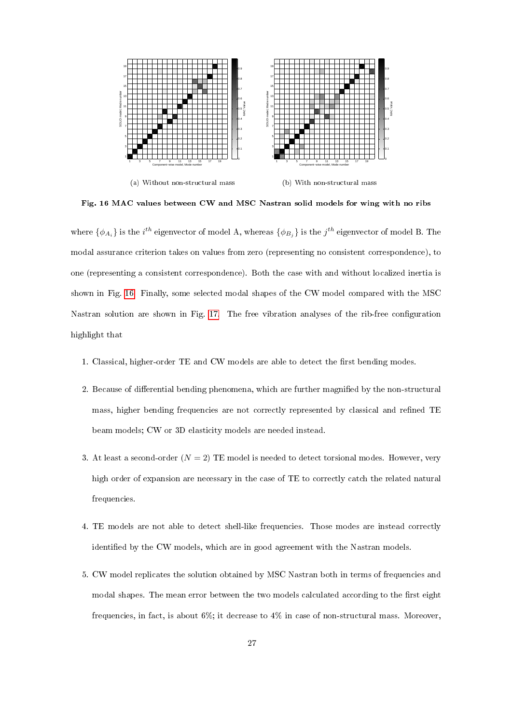

Fig. 16 MAC values between CW and MSC Nastran solid models for wing with no ribs

where  $\{\phi_{A_i}\}$  is the  $i^{th}$  eigenvector of model A, whereas  $\{\phi_{B_j}\}$  is the  $j^{th}$  eigenvector of model B. The modal assurance criterion takes on values from zero (representing no consistent correspondence), to one (representing a consistent correspondence). Both the case with and without localized inertia is shown in Fig. 16. Finally, some selected modal shapes of the CW model compared with the MSC Nastran solution are shown in Fig. 17. The free vibration analyses of the rib-free configuration highlight that

- 1. Classical, higher-order TE and CW models are able to detect the first bending modes.
- 2. Because of differential bending phenomena, which are further magnified by the non-structural mass, higher bending frequencies are not correctly represented by classical and refined TE beam models; CW or 3D elasticity models are needed instead.
- 3. At least a second-order  $(N = 2)$  TE model is needed to detect torsional modes. However, very high order of expansion are necessary in the case of TE to correctly catch the related natural frequencies.
- 4. TE models are not able to detect shell-like frequencies. Those modes are instead correctly identified by the CW models, which are in good agreement with the Nastran models.
- 5. CW model replicates the solution obtained by MSC Nastran both in terms of frequencies and modal shapes. The mean error between the two models calculated according to the first eight frequencies, in fact, is about 6%; it decrease to 4% in case of non-structural mass. Moreover,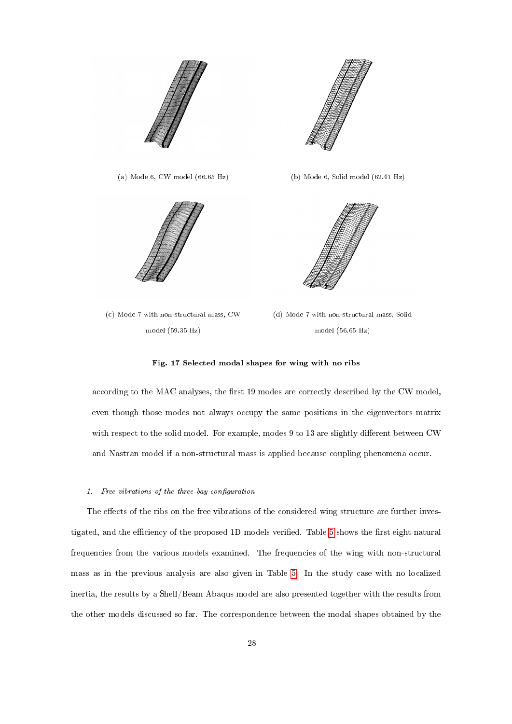





(c) Mode 7 with non-structural mass, CW model (59.35 Hz)

(d) Mode 7 with non-structural mass, Solid model (56.65 Hz)

# Fig. 17 Selected modal shapes for wing with no ribs

according to the MAC analyses, the first 19 modes are correctly described by the CW model, even though those modes not always occupy the same positions in the eigenvectors matrix with respect to the solid model. For example, modes  $9$  to 13 are slightly different between CW and Nastran model if a non-structural mass is applied because coupling phenomena occur.

# 1. Free vibrations of the three-bay configuration

The effects of the ribs on the free vibrations of the considered wing structure are further investigated, and the efficiency of the proposed 1D models verified. Table 5 shows the first eight natural frequencies from the various models examined. The frequencies of the wing with non-structural mass as in the previous analysis are also given in Table 5. In the study case with no localized inertia, the results by a Shell/Beam Abaqus model are also presented together with the results from the other models discussed so far. The correspondence between the modal shapes obtained by the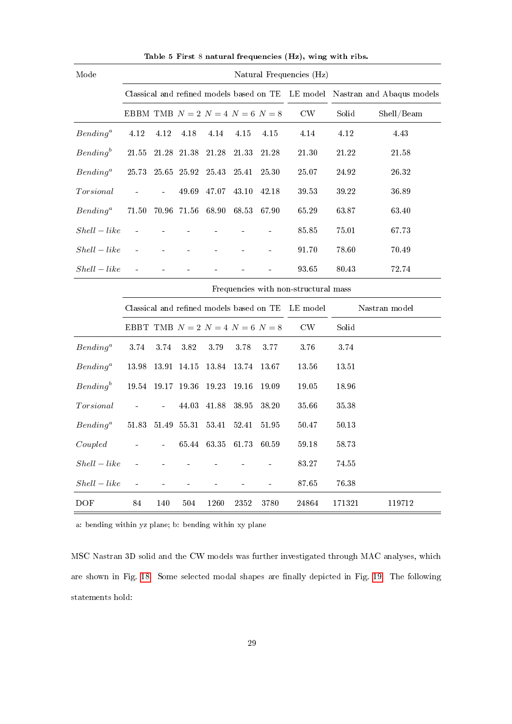| Mode           | Natural Frequencies (Hz)                 |           |           |                                          |            |           |                                                   |           |                           |
|----------------|------------------------------------------|-----------|-----------|------------------------------------------|------------|-----------|---------------------------------------------------|-----------|---------------------------|
|                |                                          |           |           |                                          |            |           | Classical and refined models based on TE LE model |           | Nastran and Abaqus models |
|                | EBBM TMB $N=2$ $N=4$ $N=6$ $N=8$         |           |           |                                          |            |           | CW                                                | Solid     | Shell/Beam                |
| $Bending^a$    | 4.12                                     | 4.12      | 4.18      | 4.14                                     | 4.15       | 4.15      | 4.14                                              | 4.12      | 4.43                      |
| $Bending^b$    | 21.55                                    | $21.28\,$ | 21.38     | 21.28                                    | 21.33      | 21.28     | $21.30\,$                                         | $21.22\,$ | $21.58\,$                 |
| $Bending^a$    | 25.73                                    | $25.65\,$ | $25.92\,$ | 25.43                                    | $25.41\,$  | 25.30     | $25.07\,$                                         | $24\;92$  | $26.32\,$                 |
|                |                                          |           | 49.69     | 47.07                                    | 43.10      | 42.18     | 39.53                                             | 39.22     | 36.89                     |
| $Bending^a$    | 71.50                                    | 70.96     | $71.56\,$ | 68.90                                    | 68.53      | 67.90     | 65.29                                             | 63.87     | 63.40                     |
| $Shell-like$   |                                          |           |           |                                          |            |           | $85.85\,$                                         | 75.01     | 67.73                     |
| $Shell-like$   |                                          |           |           |                                          |            |           | 91.70                                             | 78.60     | 70.49                     |
| $Shell-like$   |                                          |           |           |                                          |            |           | $93\ 65$                                          | $80.43\,$ | 72.74                     |
|                | Frequencies with non-structural mass     |           |           |                                          |            |           |                                                   |           |                           |
|                |                                          |           |           | Classical and refined models based on TE |            |           | LE model                                          |           | Nastran model             |
|                | EBBT TMB $N = 2$ $N = 4$ $N = 6$ $N = 8$ |           |           |                                          |            |           | $\mathrm{CW}$                                     | Solid     |                           |
| $Bending^a$    | 3.74                                     | 3.74      | 3.82      | $3.79\,$                                 | $3.78\,$   | $3.77\,$  | 3.76                                              | 3.74      |                           |
| $Bending^a$    | 13.98                                    | 13.91     | 14.15     | 13.84                                    | 13.74      | 13.67     | 13.56                                             | 13.51     |                           |
| $Bending^b$    | 19.54                                    | $19.17\,$ | 19.36     | 19.23                                    | 19.16      | 19.09     | $19.05\,$                                         | 18.96     |                           |
| Torsional      |                                          |           | 44.03     | 41.88                                    | 38.95      | 38.20     | 35.66                                             | $35.38\,$ |                           |
| $Bending^a$    | 51.83                                    | 51.49     | 55.31     | 53.41                                    | 52.41      | $51.95\,$ | $50.47\,$                                         | 50.13     |                           |
| Coupled        |                                          |           | 65.44     | 63.35                                    | 61.73      | 60.59     | 59.18                                             | 58.73     |                           |
| $Shell-like$   |                                          |           |           |                                          |            |           | 83.27                                             | 74.55     |                           |
| $Shell - like$ |                                          |           |           |                                          |            |           | $87.65\,$                                         | 76.38     |                           |
| <b>DOF</b>     | 84                                       | 140       | 504       | 1260                                     | $\bf 2352$ | 3780      | 24864                                             | 171321    | 119712                    |

Table 5 First 8 natural frequencies (Hz), wing with ribs.

a: bending within yz plane; b: bending within xy plane

MSC Nastran 3D solid and the CW models was further investigated through MAC analyses, which are shown in Fig. 18. Some selected modal shapes are finally depicted in Fig. 19. The following statements hold: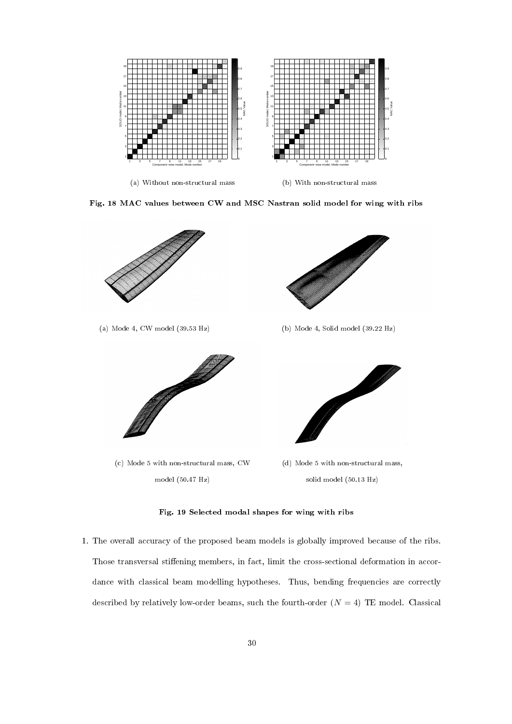

Fig. 18 MAC values between CW and MSC Nastran solid model for wing with ribs



Fig. 19 Selected modal shapes for wing with ribs

1. The overall accuracy of the proposed beam models is globally improved because of the ribs. Those transversal stiffening members, in fact, limit the cross-sectional deformation in accordance with classical beam modelling hypotheses. Thus, bending frequencies are correctly described by relatively low-order beams, such the fourth-order  $(N = 4)$  TE model. Classical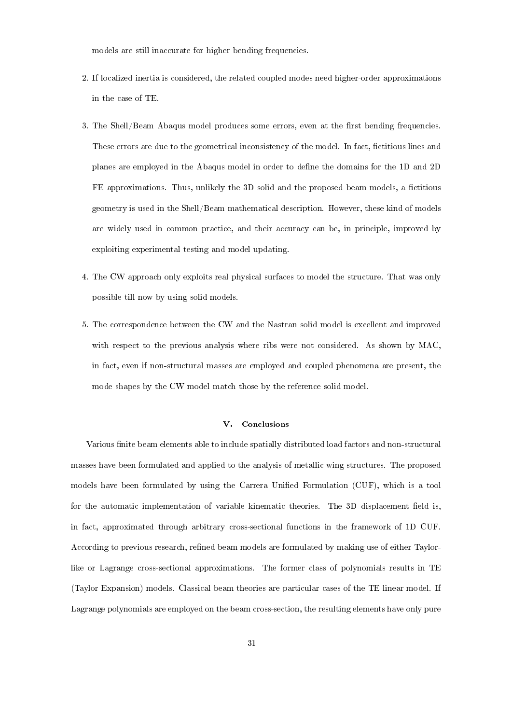models are still inaccurate for higher bending frequencies.

- 2. If localized inertia is considered, the related coupled modes need higher-order approximations in the case of TE.
- 3. The Shell/Beam Abaqus model produces some errors, even at the first bending frequencies. These errors are due to the geometrical inconsistency of the model. In fact, fictitious lines and planes are employed in the Abaqus model in order to dene the domains for the 1D and 2D FE approximations. Thus, unlikely the 3D solid and the proposed beam models, a fictitious geometry is used in the Shell/Beam mathematical description. However, these kind of models are widely used in common practice, and their accuracy can be, in principle, improved by exploiting experimental testing and model updating.
- 4. The CW approach only exploits real physical surfaces to model the structure. That was only possible till now by using solid models.
- 5. The correspondence between the CW and the Nastran solid model is excellent and improved with respect to the previous analysis where ribs were not considered. As shown by MAC, in fact, even if non-structural masses are employed and coupled phenomena are present, the mode shapes by the CW model match those by the reference solid model.

# V. Conclusions

Various finite beam elements able to include spatially distributed load factors and non-structural masses have been formulated and applied to the analysis of metallic wing structures. The proposed models have been formulated by using the Carrera Unified Formulation (CUF), which is a tool for the automatic implementation of variable kinematic theories. The 3D displacement field is, in fact, approximated through arbitrary cross-sectional functions in the framework of 1D CUF. According to previous research, refined beam models are formulated by making use of either Taylorlike or Lagrange cross-sectional approximations. The former class of polynomials results in TE (Taylor Expansion) models. Classical beam theories are particular cases of the TE linear model. If Lagrange polynomials are employed on the beam cross-section, the resulting elements have only pure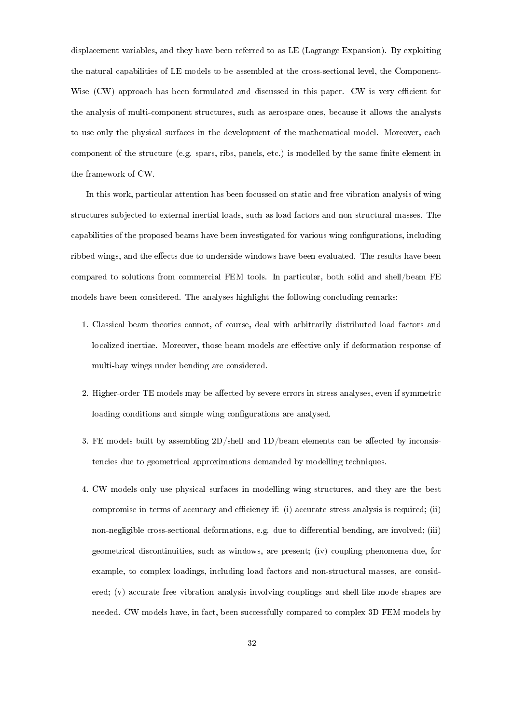displacement variables, and they have been referred to as LE (Lagrange Expansion). By exploiting the natural capabilities of LE models to be assembled at the cross-sectional level, the Component-Wise (CW) approach has been formulated and discussed in this paper. CW is very efficient for the analysis of multi-component structures, such as aerospace ones, because it allows the analysts to use only the physical surfaces in the development of the mathematical model. Moreover, each component of the structure (e.g. spars, ribs, panels, etc.) is modelled by the same finite element in the framework of CW.

In this work, particular attention has been focussed on static and free vibration analysis of wing structures subjected to external inertial loads, such as load factors and non-structural masses. The capabilities of the proposed beams have been investigated for various wing congurations, including ribbed wings, and the effects due to underside windows have been evaluated. The results have been compared to solutions from commercial FEM tools. In particular, both solid and shell/beam FE models have been considered. The analyses highlight the following concluding remarks:

- 1. Classical beam theories cannot, of course, deal with arbitrarily distributed load factors and localized inertiae. Moreover, those beam models are effective only if deformation response of multi-bay wings under bending are considered.
- 2. Higher-order TE models may be affected by severe errors in stress analyses, even if symmetric loading conditions and simple wing configurations are analysed.
- 3. FE models built by assembling  $2D/\text{shell}$  and  $1D/\text{beam}$  elements can be affected by inconsistencies due to geometrical approximations demanded by modelling techniques.
- 4. CW models only use physical surfaces in modelling wing structures, and they are the best compromise in terms of accuracy and efficiency if: (i) accurate stress analysis is required; (ii) non-negligible cross-sectional deformations, e.g. due to differential bending, are involved; (iii) geometrical discontinuities, such as windows, are present; (iv) coupling phenomena due, for example, to complex loadings, including load factors and non-structural masses, are considered; (v) accurate free vibration analysis involving couplings and shell-like mode shapes are needed. CW models have, in fact, been successfully compared to complex 3D FEM models by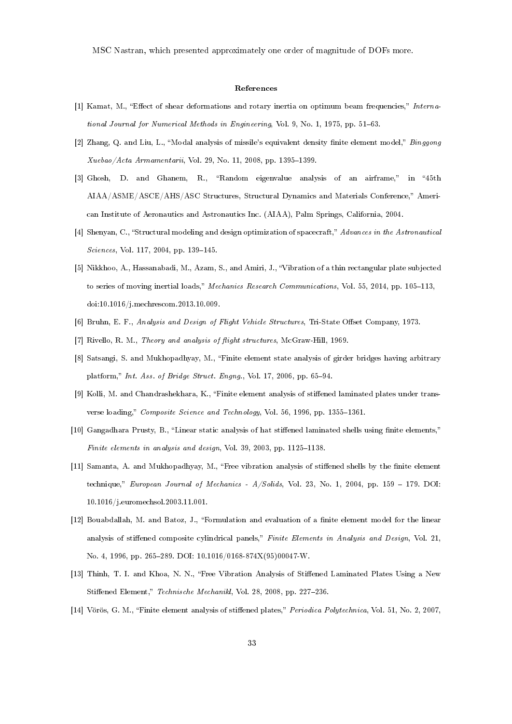MSC Nastran, which presented approximately one order of magnitude of DOFs more.

## References

- [1] Kamat, M., "Effect of shear deformations and rotary inertia on optimum beam frequencies," International Journal for Numerical Methods in Engineering, Vol. 9, No. 1, 1975, pp. 51-63.
- [2] Zhang, Q. and Liu, L., "Modal analysis of missile's equivalent density finite element model,"  $\emph{Binggong}$  $Xuebao/Acta Armamentarii$ , Vol. 29, No. 11, 2008, pp. 1395-1399.
- [3] Ghosh, D. and Ghanem, R., "Random eigenvalue analysis of an airframe," in "45th AIAA/ASME/ASCE/AHS/ASC Structures, Structural Dynamics and Materials Conference, American Institute of Aeronautics and Astronautics Inc. (AIAA), Palm Springs, California, 2004.
- [4] Shenyan, C., "Structural modeling and design optimization of spacecraft," Advances in the Astronautical Sciences, Vol. 117, 2004, pp. 139-145.
- [5] Nikkhoo, A., Hassanabadi, M., Azam, S., and Amiri, J., Vibration of a thin rectangular plate subjected to series of moving inertial loads," Mechanics Research Communications, Vol. 55, 2014, pp. 105-113, doi:10.1016/j.mechrescom.2013.10.009.
- [6] Bruhn, E. F., Analysis and Design of Flight Vehicle Structures, Tri-State Offset Company, 1973.
- [7] Rivello, R. M., Theory and analysis of flight structures, McGraw-Hill, 1969.
- [8] Satsangi, S. and Mukhopadhyay, M., Finite element state analysis of girder bridges having arbitrary platform," Int. Ass. of Bridge Struct. Engng., Vol. 17, 2006, pp. 65-94.
- [9] Kolli, M. and Chandrashekhara, K., "Finite element analysis of stiffened laminated plates under transverse loading," Composite Science and Technology, Vol. 56, 1996, pp. 1355-1361.
- [10] Gangadhara Prusty, B., "Linear static analysis of hat stiffened laminated shells using finite elements," Finite elements in analysis and design, Vol. 39, 2003, pp.  $1125-1138$ .
- [11] Samanta, A. and Mukhopadhyay, M., "Free vibration analysis of stiffened shells by the finite element technique," European Journal of Mechanics -  $A/Solids$ , Vol. 23, No. 1, 2004, pp. 159 - 179. DOI: 10.1016/j.euromechsol.2003.11.001.
- [12] Bouabdallah, M. and Batoz, J., "Formulation and evaluation of a finite element model for the linear analysis of stiffened composite cylindrical panels," Finite Elements in Analysis and Design, Vol. 21, No. 4, 1996, pp. 265289. DOI: 10.1016/0168-874X(95)00047-W.
- [13] Thinh, T. I. and Khoa, N. N., "Free Vibration Analysis of Stiffened Laminated Plates Using a New Stiffened Element," Technische Mechanikl, Vol. 28, 2008, pp. 227-236.
- [14] Vörös, G. M., "Finite element analysis of stiffened plates," Periodica Polytechnica, Vol. 51, No. 2, 2007,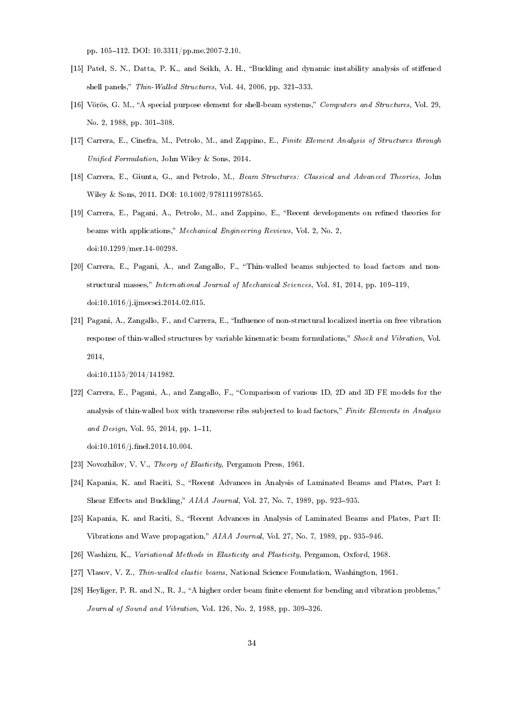pp. 105-112. DOI: 10.3311/pp.me.2007-2.10.

- [15] Patel, S. N., Datta, P. K., and Seikh, A. H., "Buckling and dynamic instability analysis of stiffened shell panels," Thin-Walled Structures, Vol. 44, 2006, pp. 321-333.
- [16] Vörös, G. M., "A special purpose element for shell-beam systems," Computers and Structures, Vol. 29, No. 2, 1988, pp. 301-308.
- [17] Carrera, E., Cinefra, M., Petrolo, M., and Zappino, E., Finite Element Analysis of Structures through Unified Formulation, John Wiley & Sons, 2014.
- [18] Carrera, E., Giunta, G., and Petrolo, M., Beam Structures: Classical and Advanced Theories, John Wiley & Sons, 2011. DOI: 10.1002/9781119978565.
- [19] Carrera, E., Pagani, A., Petrolo, M., and Zappino, E., "Recent developments on refined theories for beams with applications," Mechanical Engineering Reviews, Vol. 2, No. 2, doi:10.1299/mer.14-00298.
- [20] Carrera, E., Pagani, A., and Zangallo, F., Thin-walled beams subjected to load factors and nonstructural masses," International Journal of Mechanical Sciences, Vol. 81, 2014, pp. 109-119, doi:10.1016/j.ijmecsci.2014.02.015.
- [21] Pagani, A., Zangallo, F., and Carrera, E., "Influence of non-structural localized inertia on free vibration response of thin-walled structures by variable kinematic beam formulations," Shock and Vibration, Vol. 2014,

doi:10.1155/2014/141982.

[22] Carrera, E., Pagani, A., and Zangallo, F., Comparison of various 1D, 2D and 3D FE models for the analysis of thin-walled box with transverse ribs subjected to load factors," Finite Elements in Analysis and Design, Vol. 95, 2014, pp.  $1-11$ ,

doi:10.1016/j.nel.2014.10.004.

- [23] Novozhilov, V. V., Theory of Elasticity, Pergamon Press, 1961.
- [24] Kapania, K. and Raciti, S., "Recent Advances in Analysis of Laminated Beams and Plates, Part I: Shear Effects and Buckling," AIAA Journal, Vol. 27, No. 7, 1989, pp. 923-935.
- [25] Kapania, K. and Raciti, S., "Recent Advances in Analysis of Laminated Beams and Plates, Part II: Vibrations and Wave propagation,"  $AIAA$  Journal, Vol. 27, No. 7, 1989, pp. 935-946.
- [26] Washizu, K., Variational Methods in Elasticity and Plasticity, Pergamon, Oxford, 1968.
- [27] Vlasov, V. Z., Thin-walled elastic beams, National Science Foundation, Washington, 1961.
- [28] Heyliger, P. R. and N., R. J., "A higher order beam finite element for bending and vibration problems," Journal of Sound and Vibration, Vol. 126, No. 2, 1988, pp. 309-326.